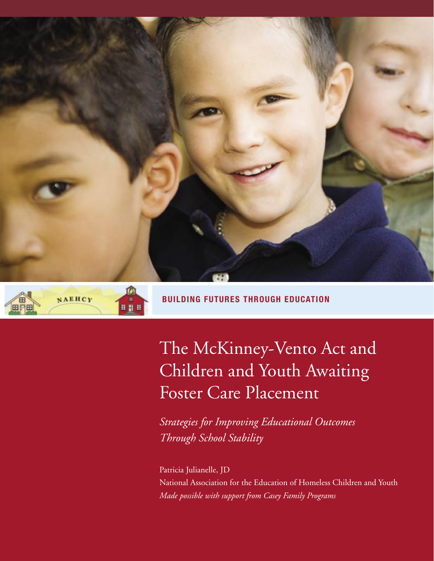



#### **BUILDING FUTURES THROUGH EDUCATION**

# The McKinney-Vento Act and Children and Youth Awaiting Foster Care Placement

*Strategies for Improving Educational Outcomes Through School Stability*

Patricia Julianelle, JD National Association for the Education of Homeless Children and Youth *Made possible with support from Casey Family Programs*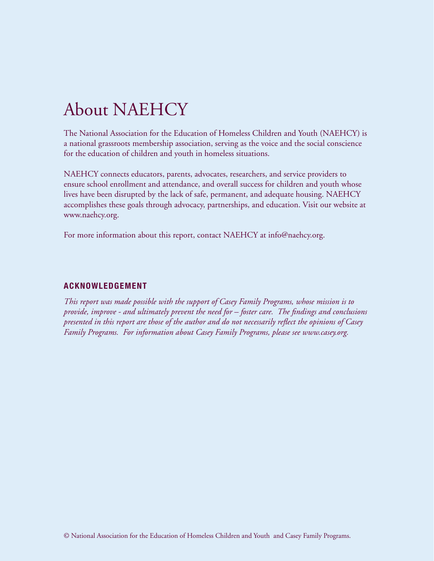# About NAEHCY

The National Association for the Education of Homeless Children and Youth (NAEHCY) is a national grassroots membership association, serving as the voice and the social conscience for the education of children and youth in homeless situations.

NAEHCY connects educators, parents, advocates, researchers, and service providers to ensure school enrollment and attendance, and overall success for children and youth whose lives have been disrupted by the lack of safe, permanent, and adequate housing. NAEHCY accomplishes these goals through advocacy, partnerships, and education. Visit our website at www.naehcy.org.

For more information about this report, contact NAEHCY at info@naehcy.org.

#### **ACKNOWLEDGEMENT**

*This report was made possible with the support of Casey Family Programs, whose mission is to provide, improve - and ultimately prevent the need for – foster care. The findings and conclusions presented in this report are those of the author and do not necessarily reflect the opinions of Casey Family Programs. For information about Casey Family Programs, please see www.casey.org.*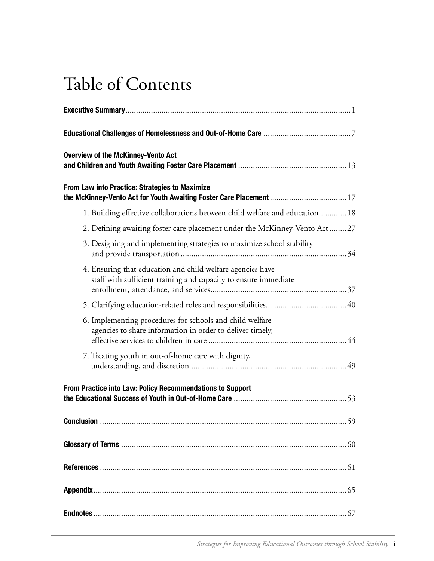# Table of Contents

| <b>Overview of the McKinney-Vento Act</b>                                                                                     |  |  |  |
|-------------------------------------------------------------------------------------------------------------------------------|--|--|--|
| From Law into Practice: Strategies to Maximize<br>the McKinney-Vento Act for Youth Awaiting Foster Care Placement  17         |  |  |  |
| 1. Building effective collaborations between child welfare and education 18                                                   |  |  |  |
| 2. Defining awaiting foster care placement under the McKinney-Vento Act27                                                     |  |  |  |
| 3. Designing and implementing strategies to maximize school stability                                                         |  |  |  |
| 4. Ensuring that education and child welfare agencies have<br>staff with sufficient training and capacity to ensure immediate |  |  |  |
|                                                                                                                               |  |  |  |
| 6. Implementing procedures for schools and child welfare<br>agencies to share information in order to deliver timely,         |  |  |  |
| 7. Treating youth in out-of-home care with dignity,                                                                           |  |  |  |
| From Practice into Law: Policy Recommendations to Support                                                                     |  |  |  |
| 59<br>Conclusion                                                                                                              |  |  |  |
|                                                                                                                               |  |  |  |
|                                                                                                                               |  |  |  |
|                                                                                                                               |  |  |  |
|                                                                                                                               |  |  |  |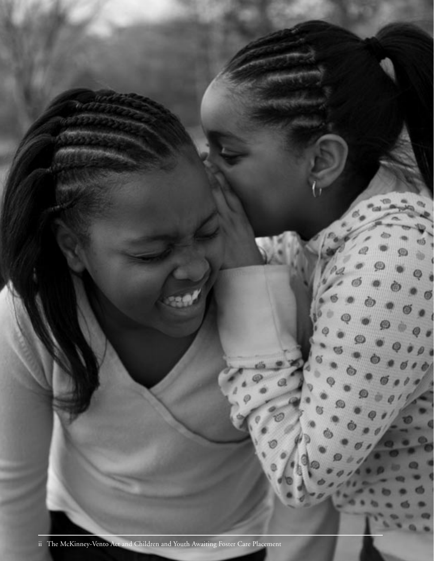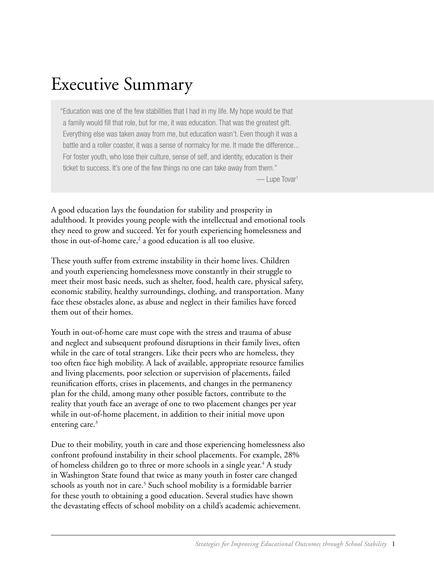## <span id="page-4-0"></span>Executive Summary

 " Education was one of the few stabilities that I had in my life. My hope would be that a family would fill that role, but for me, it was education. That was the greatest gift. Everything else was taken away from me, but education wasn't. Even though it was a battle and a roller coaster, it was a sense of normalcy for me. It made the difference... For foster youth, who lose their culture, sense of self, and identity, education is their ticket to success. It's one of the few things no one can take away from them." — Lupe Tovar<sup>1</sup>

A good education lays the foundation for stability and prosperity in adulthood. It provides young people with the intellectual and emotional tools they need to grow and succeed. Yet for youth experiencing homelessness and those in out-of-home care,<sup>2</sup> a good education is all too elusive.

These youth suffer from extreme instability in their home lives. Children and youth experiencing homelessness move constantly in their struggle to meet their most basic needs, such as shelter, food, health care, physical safety, economic stability, healthy surroundings, clothing, and transportation. Many face these obstacles alone, as abuse and neglect in their families have forced them out of their homes.

Youth in out-of-home care must cope with the stress and trauma of abuse and neglect and subsequent profound disruptions in their family lives, often while in the care of total strangers. Like their peers who are homeless, they too often face high mobility. A lack of available, appropriate resource families and living placements, poor selection or supervision of placements, failed reunification efforts, crises in placements, and changes in the permanency plan for the child, among many other possible factors, contribute to the reality that youth face an average of one to two placement changes per year while in out-of-home placement, in addition to their initial move upon entering care.<sup>3</sup>

Due to their mobility, youth in care and those experiencing homelessness also confront profound instability in their school placements. For example, 28% of homeless children go to three or more schools in a single year.<sup>4</sup> A study in Washington State found that twice as many youth in foster care changed schools as youth not in care.<sup>5</sup> Such school mobility is a formidable barrier for these youth to obtaining a good education. Several studies have shown the devastating effects of school mobility on a child's academic achievement.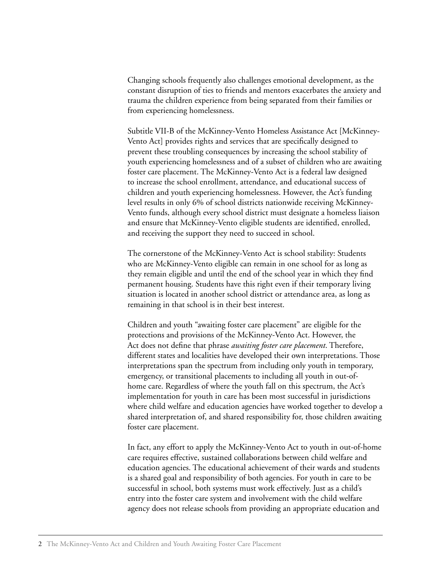Changing schools frequently also challenges emotional development, as the constant disruption of ties to friends and mentors exacerbates the anxiety and trauma the children experience from being separated from their families or from experiencing homelessness.

Subtitle VII-B of the McKinney-Vento Homeless Assistance Act [McKinney-Vento Act] provides rights and services that are specifically designed to prevent these troubling consequences by increasing the school stability of youth experiencing homelessness and of a subset of children who are awaiting foster care placement. The McKinney-Vento Act is a federal law designed to increase the school enrollment, attendance, and educational success of children and youth experiencing homelessness. However, the Act's funding level results in only 6% of school districts nationwide receiving McKinney-Vento funds, although every school district must designate a homeless liaison and ensure that McKinney-Vento eligible students are identified, enrolled, and receiving the support they need to succeed in school.

The cornerstone of the McKinney-Vento Act is school stability: Students who are McKinney-Vento eligible can remain in one school for as long as they remain eligible and until the end of the school year in which they find permanent housing. Students have this right even if their temporary living situation is located in another school district or attendance area, as long as remaining in that school is in their best interest.

Children and youth "awaiting foster care placement" are eligible for the protections and provisions of the McKinney-Vento Act. However, the Act does not define that phrase *awaiting foster care placement*. Therefore, different states and localities have developed their own interpretations. Those interpretations span the spectrum from including only youth in temporary, emergency, or transitional placements to including all youth in out-ofhome care. Regardless of where the youth fall on this spectrum, the Act's implementation for youth in care has been most successful in jurisdictions where child welfare and education agencies have worked together to develop a shared interpretation of, and shared responsibility for, those children awaiting foster care placement.

In fact, any effort to apply the McKinney-Vento Act to youth in out-of-home care requires effective, sustained collaborations between child welfare and education agencies. The educational achievement of their wards and students is a shared goal and responsibility of both agencies. For youth in care to be successful in school, both systems must work effectively. Just as a child's entry into the foster care system and involvement with the child welfare agency does not release schools from providing an appropriate education and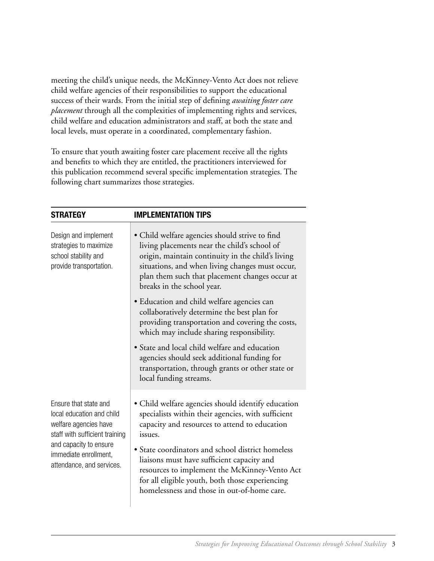meeting the child's unique needs, the McKinney-Vento Act does not relieve child welfare agencies of their responsibilities to support the educational success of their wards. From the initial step of defining *awaiting foster care placement* through all the complexities of implementing rights and services, child welfare and education administrators and staff, at both the state and local levels, must operate in a coordinated, complementary fashion.

To ensure that youth awaiting foster care placement receive all the rights and benefits to which they are entitled, the practitioners interviewed for this publication recommend several specific implementation strategies. The following chart summarizes those strategies.

| <b>STRATEGY</b><br><b>IMPLEMENTATION TIPS</b>                                                                                                                                                 |                                                                                                                                                                                                                                                                                        |  |
|-----------------------------------------------------------------------------------------------------------------------------------------------------------------------------------------------|----------------------------------------------------------------------------------------------------------------------------------------------------------------------------------------------------------------------------------------------------------------------------------------|--|
| Design and implement<br>strategies to maximize<br>school stability and<br>provide transportation.                                                                                             | • Child welfare agencies should strive to find<br>living placements near the child's school of<br>origin, maintain continuity in the child's living<br>situations, and when living changes must occur,<br>plan them such that placement changes occur at<br>breaks in the school year. |  |
|                                                                                                                                                                                               | • Education and child welfare agencies can<br>collaboratively determine the best plan for<br>providing transportation and covering the costs,<br>which may include sharing responsibility.                                                                                             |  |
|                                                                                                                                                                                               | · State and local child welfare and education<br>agencies should seek additional funding for<br>transportation, through grants or other state or<br>local funding streams.                                                                                                             |  |
| Ensure that state and<br>local education and child<br>welfare agencies have<br>staff with sufficient training<br>and capacity to ensure<br>immediate enrollment,<br>attendance, and services. | • Child welfare agencies should identify education<br>specialists within their agencies, with sufficient<br>capacity and resources to attend to education<br>issues.                                                                                                                   |  |
|                                                                                                                                                                                               | • State coordinators and school district homeless<br>liaisons must have sufficient capacity and<br>resources to implement the McKinney-Vento Act<br>for all eligible youth, both those experiencing<br>homelessness and those in out-of-home care.                                     |  |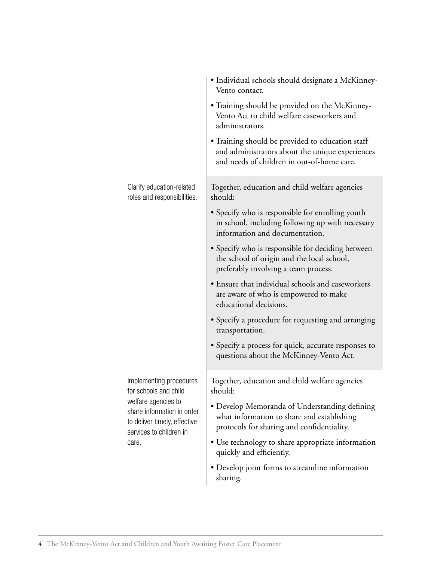|                                                                                                                                                                           | • Individual schools should designate a McKinney-<br>Vento contact.                                                                               |
|---------------------------------------------------------------------------------------------------------------------------------------------------------------------------|---------------------------------------------------------------------------------------------------------------------------------------------------|
|                                                                                                                                                                           | • Training should be provided on the McKinney-<br>Vento Act to child welfare caseworkers and<br>administrators.                                   |
|                                                                                                                                                                           | • Training should be provided to education staff<br>and administrators about the unique experiences<br>and needs of children in out-of-home care. |
| Clarify education-related<br>roles and responsibilities.                                                                                                                  | Together, education and child welfare agencies<br>should:                                                                                         |
|                                                                                                                                                                           | · Specify who is responsible for enrolling youth<br>in school, including following up with necessary<br>information and documentation.            |
|                                                                                                                                                                           | • Specify who is responsible for deciding between<br>the school of origin and the local school,<br>preferably involving a team process.           |
|                                                                                                                                                                           | • Ensure that individual schools and caseworkers<br>are aware of who is empowered to make<br>educational decisions.                               |
|                                                                                                                                                                           | • Specify a procedure for requesting and arranging<br>transportation.                                                                             |
|                                                                                                                                                                           | • Specify a process for quick, accurate responses to<br>questions about the McKinney-Vento Act.                                                   |
| Implementing procedures<br>for schools and child<br>welfare agencies to<br>share information in order<br>to deliver timely, effective<br>services to children in<br>care. | Together, education and child welfare agencies<br>should:                                                                                         |
|                                                                                                                                                                           | • Develop Memoranda of Understanding defining<br>what information to share and establishing<br>protocols for sharing and confidentiality.         |
|                                                                                                                                                                           | • Use technology to share appropriate information<br>quickly and efficiently.                                                                     |
|                                                                                                                                                                           | • Develop joint forms to streamline information<br>sharing.                                                                                       |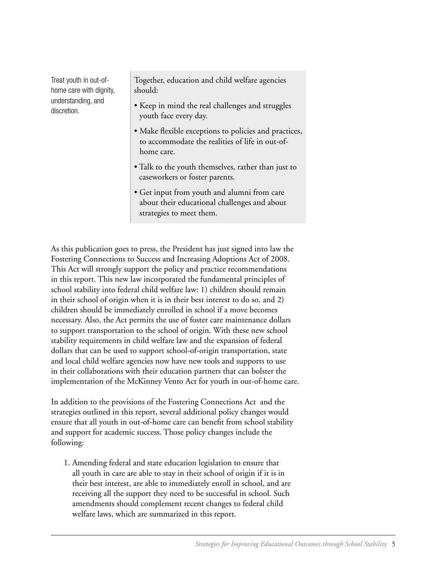Treat youth in out-ofhome care with dignity, understanding, and discretion.

Together, education and child welfare agencies should:

- Keep in mind the real challenges and struggles youth face every day.
- Make flexible exceptions to policies and practices, to accommodate the realities of life in out-ofhome care.
- Talk to the youth themselves, rather than just to caseworkers or foster parents.
- Get input from youth and alumni from care about their educational challenges and about strategies to meet them.

As this publication goes to press, the President has just signed into law the Fostering Connections to Success and Increasing Adoptions Act of 2008. This Act will strongly support the policy and practice recommendations in this report. This new law incorporated the fundamental principles of school stability into federal child welfare law: 1) children should remain in their school of origin when it is in their best interest to do so, and 2) children should be immediately enrolled in school if a move becomes necessary. Also, the Act permits the use of foster care maintenance dollars to support transportation to the school of origin. With these new school stability requirements in child welfare law and the expansion of federal dollars that can be used to support school-of-origin transportation, state and local child welfare agencies now have new tools and supports to use in their collaborations with their education partners that can bolster the implementation of the McKinney Vento Act for youth in out-of-home care.

In addition to the provisions of the Fostering Connections Act and the strategies outlined in this report, several additional policy changes would ensure that all youth in out-of-home care can benefit from school stability and support for academic success. Those policy changes include the following:

1. Amending federal and state education legislation to ensure that all youth in care are able to stay in their school of origin if it is in their best interest, are able to immediately enroll in school, and are receiving all the support they need to be successful in school. Such amendments should complement recent changes to federal child welfare laws, which are summarized in this report.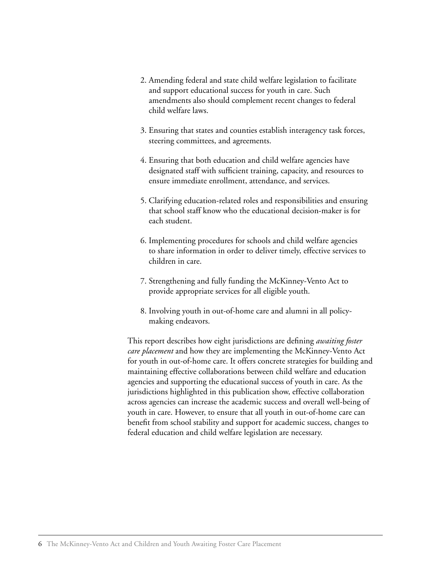- 2. Amending federal and state child welfare legislation to facilitate and support educational success for youth in care. Such amendments also should complement recent changes to federal child welfare laws.
- 3. Ensuring that states and counties establish interagency task forces, steering committees, and agreements.
- 4. Ensuring that both education and child welfare agencies have designated staff with sufficient training, capacity, and resources to ensure immediate enrollment, attendance, and services.
- 5. Clarifying education-related roles and responsibilities and ensuring that school staff know who the educational decision-maker is for each student.
- 6. Implementing procedures for schools and child welfare agencies to share information in order to deliver timely, effective services to children in care.
- 7. Strengthening and fully funding the McKinney-Vento Act to provide appropriate services for all eligible youth.
- 8. Involving youth in out-of-home care and alumni in all policymaking endeavors.

This report describes how eight jurisdictions are defining *awaiting foster care placement* and how they are implementing the McKinney-Vento Act for youth in out-of-home care. It offers concrete strategies for building and maintaining effective collaborations between child welfare and education agencies and supporting the educational success of youth in care. As the jurisdictions highlighted in this publication show, effective collaboration across agencies can increase the academic success and overall well-being of youth in care. However, to ensure that all youth in out-of-home care can benefit from school stability and support for academic success, changes to federal education and child welfare legislation are necessary.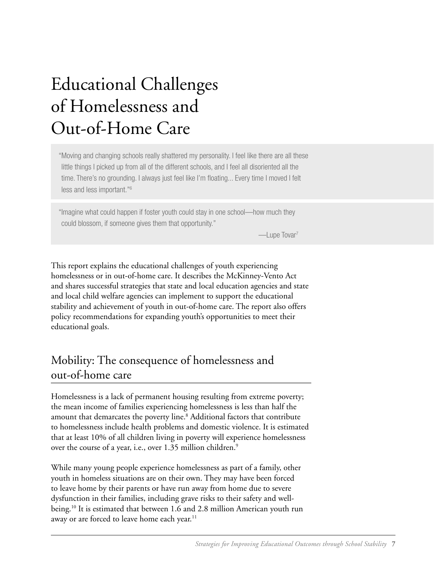# <span id="page-10-0"></span>Educational Challenges of Homelessness and Out-of-Home Care

" Moving and changing schools really shattered my personality. I feel like there are all these little things I picked up from all of the different schools, and I feel all disoriented all the time. There's no grounding. I always just feel like I'm floating... Every time I moved I felt less and less important."6

" Imagine what could happen if foster youth could stay in one school—how much they could blossom, if someone gives them that opportunity."

—Lupe Tovar<sup>7</sup>

This report explains the educational challenges of youth experiencing homelessness or in out-of-home care. It describes the McKinney-Vento Act and shares successful strategies that state and local education agencies and state and local child welfare agencies can implement to support the educational stability and achievement of youth in out-of-home care. The report also offers policy recommendations for expanding youth's opportunities to meet their educational goals.

## Mobility: The consequence of homelessness and out-of-home care

Homelessness is a lack of permanent housing resulting from extreme poverty; the mean income of families experiencing homelessness is less than half the amount that demarcates the poverty line.<sup>8</sup> Additional factors that contribute to homelessness include health problems and domestic violence. It is estimated that at least 10% of all children living in poverty will experience homelessness over the course of a year, i.e., over 1.35 million children.<sup>9</sup>

While many young people experience homelessness as part of a family, other youth in homeless situations are on their own. They may have been forced to leave home by their parents or have run away from home due to severe dysfunction in their families, including grave risks to their safety and wellbeing.10 It is estimated that between 1.6 and 2.8 million American youth run away or are forced to leave home each year.<sup>11</sup>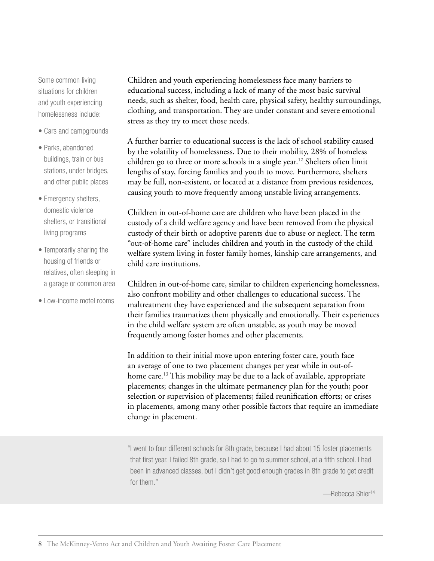Some common living situations for children and youth experiencing homelessness include:

- Cars and campgrounds
- Parks, abandoned buildings, train or bus stations, under bridges, and other public places
- Emergency shelters, domestic violence shelters, or transitional living programs
- Temporarily sharing the housing of friends or relatives, often sleeping in a garage or common area
- Low-income motel rooms

Children and youth experiencing homelessness face many barriers to educational success, including a lack of many of the most basic survival needs, such as shelter, food, health care, physical safety, healthy surroundings, clothing, and transportation. They are under constant and severe emotional stress as they try to meet those needs.

A further barrier to educational success is the lack of school stability caused by the volatility of homelessness. Due to their mobility, 28% of homeless children go to three or more schools in a single year.12 Shelters often limit lengths of stay, forcing families and youth to move. Furthermore, shelters may be full, non-existent, or located at a distance from previous residences, causing youth to move frequently among unstable living arrangements.

Children in out-of-home care are children who have been placed in the custody of a child welfare agency and have been removed from the physical custody of their birth or adoptive parents due to abuse or neglect. The term "out-of-home care" includes children and youth in the custody of the child welfare system living in foster family homes, kinship care arrangements, and child care institutions.

Children in out-of-home care, similar to children experiencing homelessness, also confront mobility and other challenges to educational success. The maltreatment they have experienced and the subsequent separation from their families traumatizes them physically and emotionally. Their experiences in the child welfare system are often unstable, as youth may be moved frequently among foster homes and other placements.

In addition to their initial move upon entering foster care, youth face an average of one to two placement changes per year while in out-ofhome care.<sup>13</sup> This mobility may be due to a lack of available, appropriate placements; changes in the ultimate permanency plan for the youth; poor selection or supervision of placements; failed reunification efforts; or crises in placements, among many other possible factors that require an immediate change in placement.

"I went to four different schools for 8th grade, because I had about 15 foster placements that first year. I failed 8th grade, so I had to go to summer school, at a fifth school. I had been in advanced classes, but I didn't get good enough grades in 8th grade to get credit for them."

—Rebecca Shier14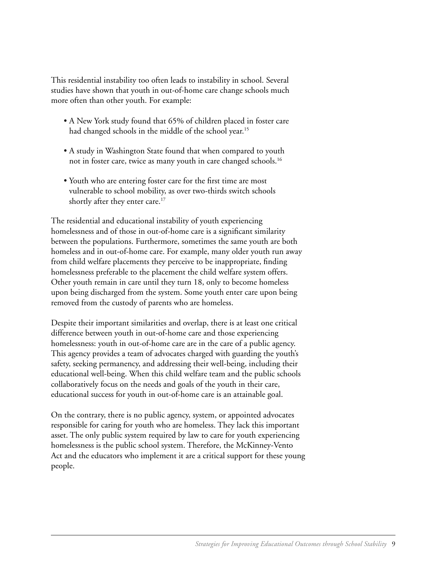This residential instability too often leads to instability in school. Several studies have shown that youth in out-of-home care change schools much more often than other youth. For example:

- A New York study found that 65% of children placed in foster care had changed schools in the middle of the school year.<sup>15</sup>
- A study in Washington State found that when compared to youth not in foster care, twice as many youth in care changed schools.<sup>16</sup>
- Youth who are entering foster care for the first time are most vulnerable to school mobility, as over two-thirds switch schools shortly after they enter care.<sup>17</sup>

The residential and educational instability of youth experiencing homelessness and of those in out-of-home care is a significant similarity between the populations. Furthermore, sometimes the same youth are both homeless and in out-of-home care. For example, many older youth run away from child welfare placements they perceive to be inappropriate, finding homelessness preferable to the placement the child welfare system offers. Other youth remain in care until they turn 18, only to become homeless upon being discharged from the system. Some youth enter care upon being removed from the custody of parents who are homeless.

Despite their important similarities and overlap, there is at least one critical difference between youth in out-of-home care and those experiencing homelessness: youth in out-of-home care are in the care of a public agency. This agency provides a team of advocates charged with guarding the youth's safety, seeking permanency, and addressing their well-being, including their educational well-being. When this child welfare team and the public schools collaboratively focus on the needs and goals of the youth in their care, educational success for youth in out-of-home care is an attainable goal.

On the contrary, there is no public agency, system, or appointed advocates responsible for caring for youth who are homeless. They lack this important asset. The only public system required by law to care for youth experiencing homelessness is the public school system. Therefore, the McKinney-Vento Act and the educators who implement it are a critical support for these young people.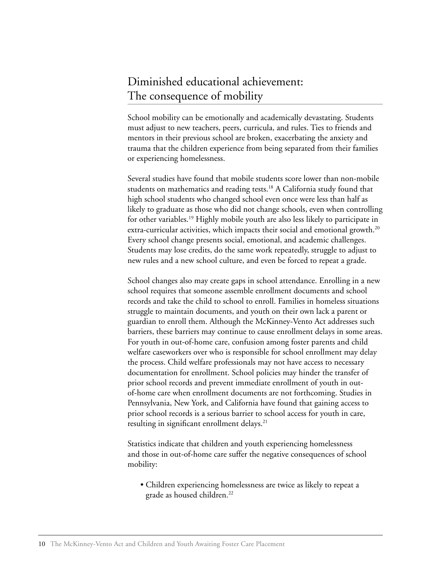## Diminished educational achievement: The consequence of mobility

School mobility can be emotionally and academically devastating. Students must adjust to new teachers, peers, curricula, and rules. Ties to friends and mentors in their previous school are broken, exacerbating the anxiety and trauma that the children experience from being separated from their families or experiencing homelessness.

Several studies have found that mobile students score lower than non-mobile students on mathematics and reading tests.18 A California study found that high school students who changed school even once were less than half as likely to graduate as those who did not change schools, even when controlling for other variables.19 Highly mobile youth are also less likely to participate in extra-curricular activities, which impacts their social and emotional growth.<sup>20</sup> Every school change presents social, emotional, and academic challenges. Students may lose credits, do the same work repeatedly, struggle to adjust to new rules and a new school culture, and even be forced to repeat a grade.

School changes also may create gaps in school attendance. Enrolling in a new school requires that someone assemble enrollment documents and school records and take the child to school to enroll. Families in homeless situations struggle to maintain documents, and youth on their own lack a parent or guardian to enroll them. Although the McKinney-Vento Act addresses such barriers, these barriers may continue to cause enrollment delays in some areas. For youth in out-of-home care, confusion among foster parents and child welfare caseworkers over who is responsible for school enrollment may delay the process. Child welfare professionals may not have access to necessary documentation for enrollment. School policies may hinder the transfer of prior school records and prevent immediate enrollment of youth in outof-home care when enrollment documents are not forthcoming. Studies in Pennsylvania, New York, and California have found that gaining access to prior school records is a serious barrier to school access for youth in care, resulting in significant enrollment delays.<sup>21</sup>

Statistics indicate that children and youth experiencing homelessness and those in out-of-home care suffer the negative consequences of school mobility:

• Children experiencing homelessness are twice as likely to repeat a grade as housed children.22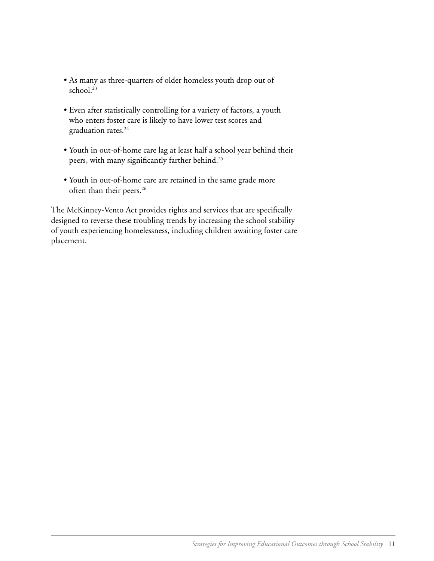- As many as three-quarters of older homeless youth drop out of school.<sup>23</sup>
- Even after statistically controlling for a variety of factors, a youth who enters foster care is likely to have lower test scores and graduation rates.<sup>24</sup>
- Youth in out-of-home care lag at least half a school year behind their peers, with many significantly farther behind.<sup>25</sup>
- Youth in out-of-home care are retained in the same grade more often than their peers.<sup>26</sup>

The McKinney-Vento Act provides rights and services that are specifically designed to reverse these troubling trends by increasing the school stability of youth experiencing homelessness, including children awaiting foster care placement.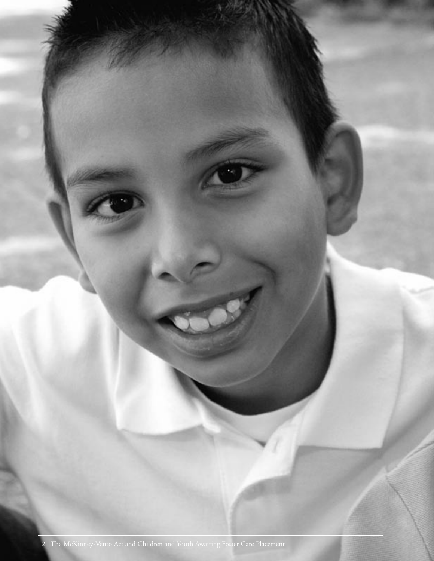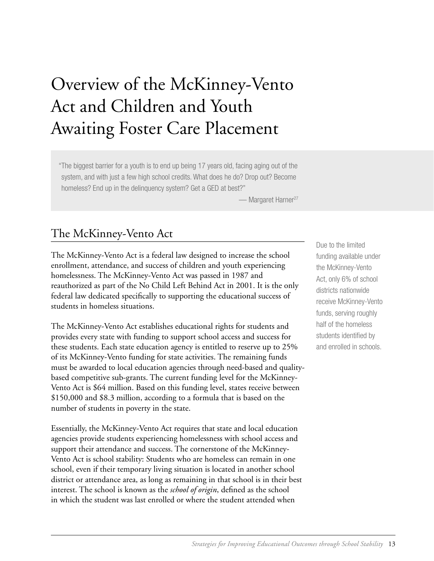# <span id="page-16-0"></span>Overview of the McKinney-Vento Act and Children and Youth Awaiting Foster Care Placement

" The biggest barrier for a youth is to end up being 17 years old, facing aging out of the system, and with just a few high school credits. What does he do? Drop out? Become homeless? End up in the delinquency system? Get a GED at best?"

— Margaret Harner<sup>27</sup>

## The McKinney-Vento Act

The McKinney-Vento Act is a federal law designed to increase the school enrollment, attendance, and success of children and youth experiencing homelessness. The McKinney-Vento Act was passed in 1987 and reauthorized as part of the No Child Left Behind Act in 2001. It is the only federal law dedicated specifically to supporting the educational success of students in homeless situations.

The McKinney-Vento Act establishes educational rights for students and provides every state with funding to support school access and success for these students. Each state education agency is entitled to reserve up to 25% of its McKinney-Vento funding for state activities. The remaining funds must be awarded to local education agencies through need-based and qualitybased competitive sub-grants. The current funding level for the McKinney-Vento Act is \$64 million. Based on this funding level, states receive between \$150,000 and \$8.3 million, according to a formula that is based on the number of students in poverty in the state.

Essentially, the McKinney-Vento Act requires that state and local education agencies provide students experiencing homelessness with school access and support their attendance and success. The cornerstone of the McKinney-Vento Act is school stability: Students who are homeless can remain in one school, even if their temporary living situation is located in another school district or attendance area, as long as remaining in that school is in their best interest. The school is known as the *school of origin*, defined as the school in which the student was last enrolled or where the student attended when

Due to the limited funding available under the McKinney-Vento Act, only 6% of school districts nationwide receive McKinney-Vento funds, serving roughly half of the homeless students identified by and enrolled in schools.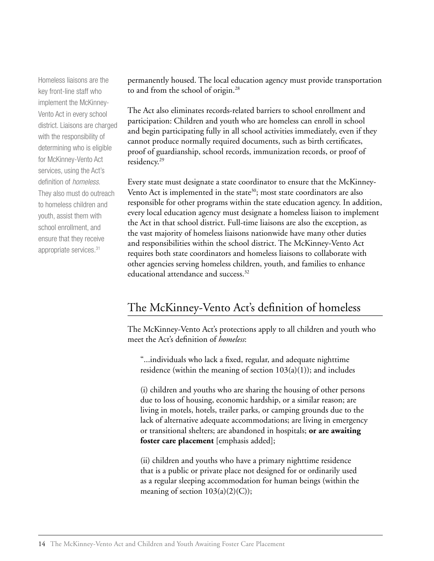Homeless liaisons are the key front-line staff who implement the McKinney-Vento Act in every school district. Liaisons are charged with the responsibility of determining who is eligible for McKinney-Vento Act services, using the Act's definition of *homeless*. They also must do outreach to homeless children and youth, assist them with school enrollment, and ensure that they receive appropriate services.<sup>31</sup>

permanently housed. The local education agency must provide transportation to and from the school of origin.28

The Act also eliminates records-related barriers to school enrollment and participation: Children and youth who are homeless can enroll in school and begin participating fully in all school activities immediately, even if they cannot produce normally required documents, such as birth certificates, proof of guardianship, school records, immunization records, or proof of residency.29

Every state must designate a state coordinator to ensure that the McKinney-Vento Act is implemented in the state $30$ ; most state coordinators are also responsible for other programs within the state education agency. In addition, every local education agency must designate a homeless liaison to implement the Act in that school district. Full-time liaisons are also the exception, as the vast majority of homeless liaisons nationwide have many other duties and responsibilities within the school district. The McKinney-Vento Act requires both state coordinators and homeless liaisons to collaborate with other agencies serving homeless children, youth, and families to enhance educational attendance and success.32

## The McKinney-Vento Act's definition of homeless

The McKinney-Vento Act's protections apply to all children and youth who meet the Act's definition of *homeless*:

"...individuals who lack a fixed, regular, and adequate nighttime residence (within the meaning of section  $103(a)(1)$ ); and includes

(i) children and youths who are sharing the housing of other persons due to loss of housing, economic hardship, or a similar reason; are living in motels, hotels, trailer parks, or camping grounds due to the lack of alternative adequate accommodations; are living in emergency or transitional shelters; are abandoned in hospitals; **or are awaiting foster care placement** [emphasis added];

(ii) children and youths who have a primary nighttime residence that is a public or private place not designed for or ordinarily used as a regular sleeping accommodation for human beings (within the meaning of section  $103(a)(2)(C)$ ;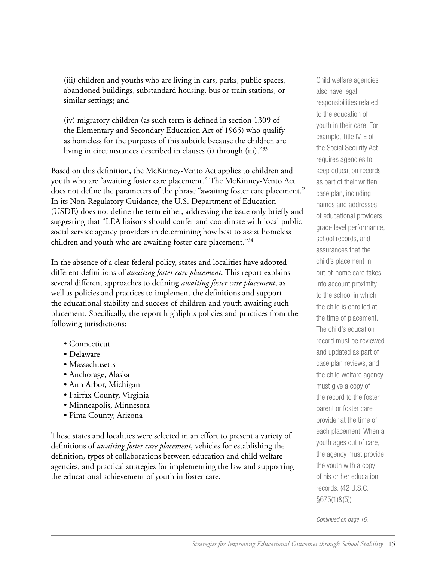(iii) children and youths who are living in cars, parks, public spaces, abandoned buildings, substandard housing, bus or train stations, or similar settings; and

(iv) migratory children (as such term is defined in section 1309 of the Elementary and Secondary Education Act of 1965) who qualify as homeless for the purposes of this subtitle because the children are living in circumstances described in clauses (i) through (iii)."33

Based on this definition, the McKinney-Vento Act applies to children and youth who are "awaiting foster care placement." The McKinney-Vento Act does not define the parameters of the phrase "awaiting foster care placement." In its Non-Regulatory Guidance, the U.S. Department of Education (USDE) does not define the term either, addressing the issue only briefly and suggesting that "LEA liaisons should confer and coordinate with local public social service agency providers in determining how best to assist homeless children and youth who are awaiting foster care placement."<sup>34</sup>

In the absence of a clear federal policy, states and localities have adopted different definitions of *awaiting foster care placement*. This report explains several different approaches to defining *awaiting foster care placement*, as well as policies and practices to implement the definitions and support the educational stability and success of children and youth awaiting such placement. Specifically, the report highlights policies and practices from the following jurisdictions:

- Connecticut
- Delaware
- Massachusetts
- Anchorage, Alaska
- Ann Arbor, Michigan
- Fairfax County, Virginia
- Minneapolis, Minnesota
- Pima County, Arizona

These states and localities were selected in an effort to present a variety of definitions of *awaiting foster care placement*, vehicles for establishing the definition, types of collaborations between education and child welfare agencies, and practical strategies for implementing the law and supporting the educational achievement of youth in foster care.

Child welfare agencies also have legal responsibilities related to the education of youth in their care. For example, Title IV-E of the Social Security Act requires agencies to keep education records as part of their written case plan, including names and addresses of educational providers, grade level performance, school records, and assurances that the child's placement in out-of-home care takes into account proximity to the school in which the child is enrolled at the time of placement. The child's education record must be reviewed and updated as part of case plan reviews, and the child welfare agency must give a copy of the record to the foster parent or foster care provider at the time of each placement. When a youth ages out of care, the agency must provide the youth with a copy of his or her education records. (42 U.S.C. §675(1)&(5))

Continued on page 16.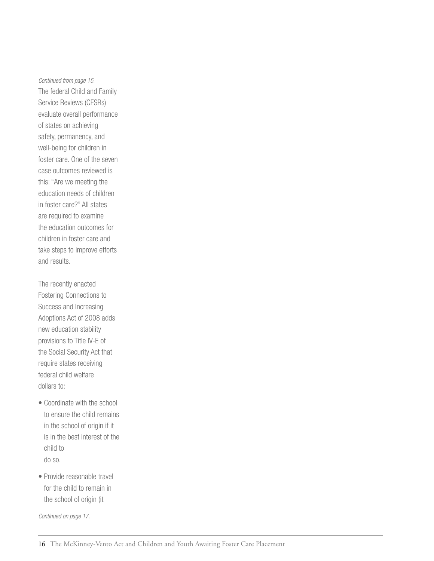Continued from page 15. The federal Child and Family Service Reviews (CFSRs) evaluate overall performance of states on achieving safety, permanency, and well-being for children in foster care. One of the seven case outcomes reviewed is this: "Are we meeting the education needs of children in foster care?" All states are required to examine the education outcomes for children in foster care and take steps to improve efforts and results.

The recently enacted Fostering Connections to Success and Increasing Adoptions Act of 2008 adds new education stability provisions to Title IV-E of the Social Security Act that require states receiving federal child welfare dollars to:

- Coordinate with the school to ensure the child remains in the school of origin if it is in the best interest of the child to do so.
- Provide reasonable travel for the child to remain in the school of origin (it

Continued on page 17.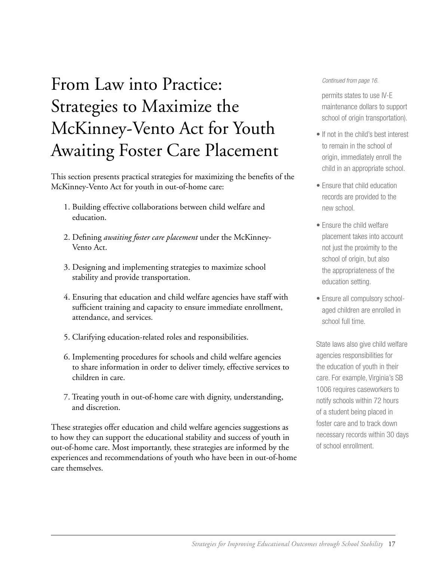# <span id="page-20-0"></span>From Law into Practice: Strategies to Maximize the McKinney-Vento Act for Youth Awaiting Foster Care Placement

This section presents practical strategies for maximizing the benefits of the McKinney-Vento Act for youth in out-of-home care:

- 1. Building effective collaborations between child welfare and education.
- 2. Defining *awaiting foster care placement* under the McKinney-Vento Act.
- 3. Designing and implementing strategies to maximize school stability and provide transportation.
- 4. Ensuring that education and child welfare agencies have staff with sufficient training and capacity to ensure immediate enrollment, attendance, and services.
- 5. Clarifying education-related roles and responsibilities.
- 6. Implementing procedures for schools and child welfare agencies to share information in order to deliver timely, effective services to children in care.
- 7. Treating youth in out-of-home care with dignity, understanding, and discretion.

These strategies offer education and child welfare agencies suggestions as to how they can support the educational stability and success of youth in out-of-home care. Most importantly, these strategies are informed by the experiences and recommendations of youth who have been in out-of-home care themselves.

Continued from page 16.

 permits states to use IV-E maintenance dollars to support school of origin transportation).

- If not in the child's best interest to remain in the school of origin, immediately enroll the child in an appropriate school.
- Ensure that child education records are provided to the new school.
- Ensure the child welfare placement takes into account not just the proximity to the school of origin, but also the appropriateness of the education setting.
- Ensure all compulsory schoolaged children are enrolled in school full time.

State laws also give child welfare agencies responsibilities for the education of youth in their care. For example, Virginia's SB 1006 requires caseworkers to notify schools within 72 hours of a student being placed in foster care and to track down necessary records within 30 days of school enrollment.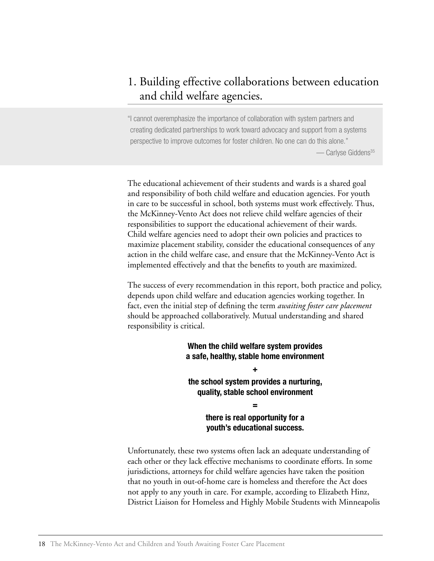## <span id="page-21-0"></span>1. Building effective collaborations between education and child welfare agencies.

" I cannot overemphasize the importance of collaboration with system partners and creating dedicated partnerships to work toward advocacy and support from a systems perspective to improve outcomes for foster children. No one can do this alone." — Carlyse Giddens35

The educational achievement of their students and wards is a shared goal and responsibility of both child welfare and education agencies. For youth in care to be successful in school, both systems must work effectively. Thus, the McKinney-Vento Act does not relieve child welfare agencies of their responsibilities to support the educational achievement of their wards. Child welfare agencies need to adopt their own policies and practices to maximize placement stability, consider the educational consequences of any action in the child welfare case, and ensure that the McKinney-Vento Act is implemented effectively and that the benefits to youth are maximized.

The success of every recommendation in this report, both practice and policy, depends upon child welfare and education agencies working together. In fact, even the initial step of defining the term *awaiting foster care placement* should be approached collaboratively. Mutual understanding and shared responsibility is critical.

#### **When the child welfare system provides a safe, healthy, stable home environment +**

**the school system provides a nurturing, quality, stable school environment**

**=**

**there is real opportunity for a youth's educational success.**

Unfortunately, these two systems often lack an adequate understanding of each other or they lack effective mechanisms to coordinate efforts. In some jurisdictions, attorneys for child welfare agencies have taken the position that no youth in out-of-home care is homeless and therefore the Act does not apply to any youth in care. For example, according to Elizabeth Hinz, District Liaison for Homeless and Highly Mobile Students with Minneapolis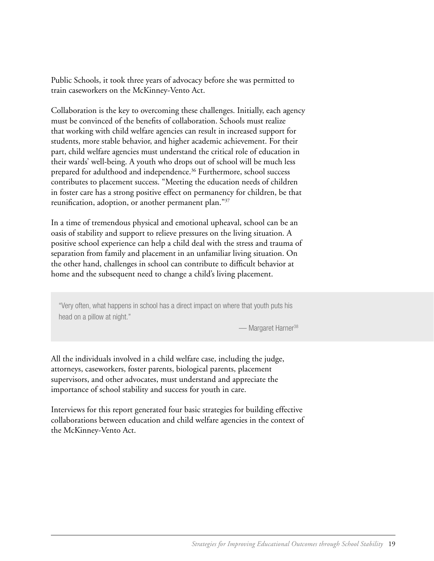Public Schools, it took three years of advocacy before she was permitted to train caseworkers on the McKinney-Vento Act.

Collaboration is the key to overcoming these challenges. Initially, each agency must be convinced of the benefits of collaboration. Schools must realize that working with child welfare agencies can result in increased support for students, more stable behavior, and higher academic achievement. For their part, child welfare agencies must understand the critical role of education in their wards' well-being. A youth who drops out of school will be much less prepared for adulthood and independence.<sup>36</sup> Furthermore, school success contributes to placement success. "Meeting the education needs of children in foster care has a strong positive effect on permanency for children, be that reunification, adoption, or another permanent plan."37

In a time of tremendous physical and emotional upheaval, school can be an oasis of stability and support to relieve pressures on the living situation. A positive school experience can help a child deal with the stress and trauma of separation from family and placement in an unfamiliar living situation. On the other hand, challenges in school can contribute to difficult behavior at home and the subsequent need to change a child's living placement.

"Very often, what happens in school has a direct impact on where that youth puts his head on a pillow at night."

— Margaret Harner38

All the individuals involved in a child welfare case, including the judge, attorneys, caseworkers, foster parents, biological parents, placement supervisors, and other advocates, must understand and appreciate the importance of school stability and success for youth in care.

Interviews for this report generated four basic strategies for building effective collaborations between education and child welfare agencies in the context of the McKinney-Vento Act.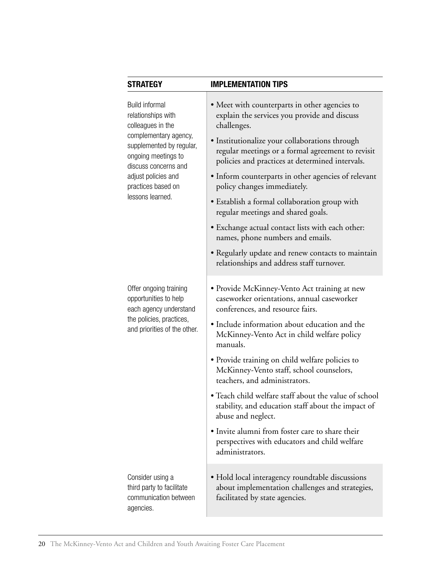| <b>STRATEGY</b>                                                                                                                                                   | <b>IMPLEMENTATION TIPS</b>                                                                                                                             |  |  |
|-------------------------------------------------------------------------------------------------------------------------------------------------------------------|--------------------------------------------------------------------------------------------------------------------------------------------------------|--|--|
| <b>Build informal</b><br>relationships with<br>colleagues in the                                                                                                  | • Meet with counterparts in other agencies to<br>explain the services you provide and discuss<br>challenges.                                           |  |  |
| complementary agency,<br>supplemented by regular,<br>ongoing meetings to<br>discuss concerns and<br>adjust policies and<br>practices based on<br>lessons learned. | • Institutionalize your collaborations through<br>regular meetings or a formal agreement to revisit<br>policies and practices at determined intervals. |  |  |
|                                                                                                                                                                   | • Inform counterparts in other agencies of relevant<br>policy changes immediately.                                                                     |  |  |
|                                                                                                                                                                   | • Establish a formal collaboration group with<br>regular meetings and shared goals.                                                                    |  |  |
|                                                                                                                                                                   | • Exchange actual contact lists with each other:<br>names, phone numbers and emails.                                                                   |  |  |
|                                                                                                                                                                   | • Regularly update and renew contacts to maintain<br>relationships and address staff turnover.                                                         |  |  |
| Offer ongoing training<br>opportunities to help<br>each agency understand<br>the policies, practices,<br>and priorities of the other.                             | · Provide McKinney-Vento Act training at new<br>caseworker orientations, annual caseworker<br>conferences, and resource fairs.                         |  |  |
|                                                                                                                                                                   | · Include information about education and the<br>McKinney-Vento Act in child welfare policy<br>manuals.                                                |  |  |
|                                                                                                                                                                   | • Provide training on child welfare policies to<br>McKinney-Vento staff, school counselors,<br>teachers, and administrators.                           |  |  |
|                                                                                                                                                                   | Teach child welfare staff about the value of school<br>stability, and education staff about the impact of<br>abuse and neglect.                        |  |  |
|                                                                                                                                                                   | • Invite alumni from foster care to share their<br>perspectives with educators and child welfare<br>administrators.                                    |  |  |
| Consider using a<br>third party to facilitate<br>communication between<br>agencies.                                                                               | • Hold local interagency roundtable discussions<br>about implementation challenges and strategies,<br>facilitated by state agencies.                   |  |  |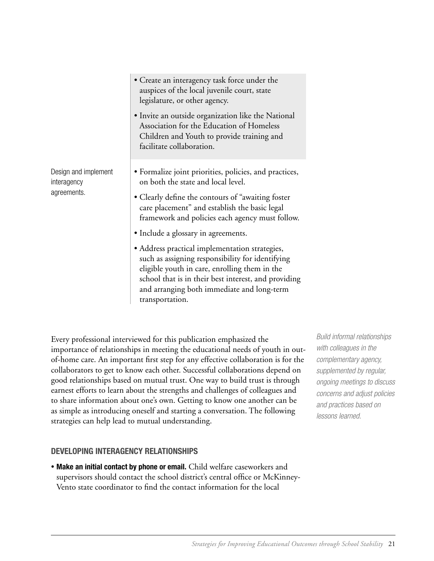|                                                    | • Create an interagency task force under the<br>auspices of the local juvenile court, state<br>legislature, or other agency.                                                                                                                                                 |
|----------------------------------------------------|------------------------------------------------------------------------------------------------------------------------------------------------------------------------------------------------------------------------------------------------------------------------------|
|                                                    | · Invite an outside organization like the National<br>Association for the Education of Homeless<br>Children and Youth to provide training and<br>facilitate collaboration.                                                                                                   |
| Design and implement<br>interagency<br>agreements. | • Formalize joint priorities, policies, and practices,<br>on both the state and local level.                                                                                                                                                                                 |
|                                                    | • Clearly define the contours of "awaiting foster<br>care placement" and establish the basic legal<br>framework and policies each agency must follow.                                                                                                                        |
|                                                    | • Include a glossary in agreements.                                                                                                                                                                                                                                          |
|                                                    | • Address practical implementation strategies,<br>such as assigning responsibility for identifying<br>eligible youth in care, enrolling them in the<br>school that is in their best interest, and providing<br>and arranging both immediate and long-term<br>transportation. |

Every professional interviewed for this publication emphasized the importance of relationships in meeting the educational needs of youth in outof-home care. An important first step for any effective collaboration is for the collaborators to get to know each other. Successful collaborations depend on good relationships based on mutual trust. One way to build trust is through earnest efforts to learn about the strengths and challenges of colleagues and to share information about one's own. Getting to know one another can be as simple as introducing oneself and starting a conversation. The following strategies can help lead to mutual understanding.

#### **DEVELOPING INTERAGENCY RELATIONSHIPS**

• **Make an initial contact by phone or email.** Child welfare caseworkers and supervisors should contact the school district's central office or McKinney-Vento state coordinator to find the contact information for the local

Build informal relationships with colleagues in the complementary agency, supplemented by regular, ongoing meetings to discuss concerns and adjust policies and practices based on lessons learned.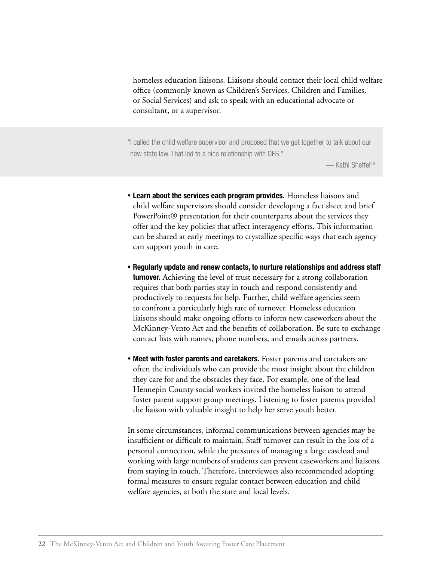homeless education liaisons. Liaisons should contact their local child welfare office (commonly known as Children's Services, Children and Families, or Social Services) and ask to speak with an educational advocate or consultant, or a supervisor.

"I called the child welfare supervisor and proposed that we get together to talk about our new state law. That led to a nice relationship with DFS."

— Kathi Sheffel39

- **Learn about the services each program provides.** Homeless liaisons and child welfare supervisors should consider developing a fact sheet and brief PowerPoint® presentation for their counterparts about the services they offer and the key policies that affect interagency efforts. This information can be shared at early meetings to crystallize specific ways that each agency can support youth in care.
- **Regularly update and renew contacts, to nurture relationships and address staff turnover.** Achieving the level of trust necessary for a strong collaboration requires that both parties stay in touch and respond consistently and productively to requests for help. Further, child welfare agencies seem to confront a particularly high rate of turnover. Homeless education liaisons should make ongoing efforts to inform new caseworkers about the McKinney-Vento Act and the benefits of collaboration. Be sure to exchange contact lists with names, phone numbers, and emails across partners.
- **Meet with foster parents and caretakers.** Foster parents and caretakers are often the individuals who can provide the most insight about the children they care for and the obstacles they face. For example, one of the lead Hennepin County social workers invited the homeless liaison to attend foster parent support group meetings. Listening to foster parents provided the liaison with valuable insight to help her serve youth better.

In some circumstances, informal communications between agencies may be insufficient or difficult to maintain. Staff turnover can result in the loss of a personal connection, while the pressures of managing a large caseload and working with large numbers of students can prevent caseworkers and liaisons from staying in touch. Therefore, interviewees also recommended adopting formal measures to ensure regular contact between education and child welfare agencies, at both the state and local levels.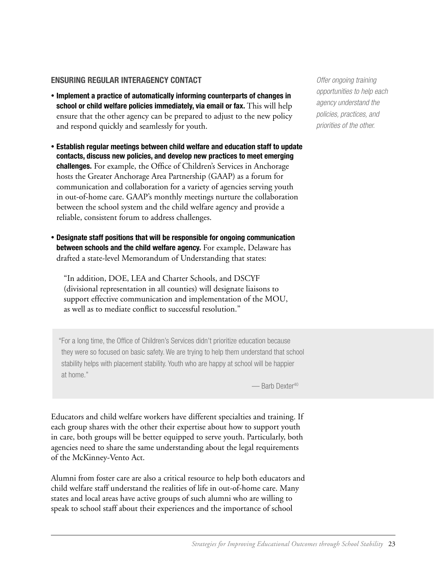#### **ENSURING REGULAR INTERAGENCY CONTACT**

- **Implement a practice of automatically informing counterparts of changes in school or child welfare policies immediately, via email or fax.** This will help ensure that the other agency can be prepared to adjust to the new policy and respond quickly and seamlessly for youth.
- **Establish regular meetings between child welfare and education staff to update contacts, discuss new policies, and develop new practices to meet emerging challenges.** For example, the Office of Children's Services in Anchorage hosts the Greater Anchorage Area Partnership (GAAP) as a forum for communication and collaboration for a variety of agencies serving youth in out-of-home care. GAAP's monthly meetings nurture the collaboration between the school system and the child welfare agency and provide a reliable, consistent forum to address challenges.
- **Designate staff positions that will be responsible for ongoing communication between schools and the child welfare agency.** For example, Delaware has drafted a state-level Memorandum of Understanding that states:

"In addition, DOE, LEA and Charter Schools, and DSCYF (divisional representation in all counties) will designate liaisons to support effective communication and implementation of the MOU, as well as to mediate conflict to successful resolution."

" For a long time, the Office of Children's Services didn't prioritize education because they were so focused on basic safety. We are trying to help them understand that school stability helps with placement stability. Youth who are happy at school will be happier at home."

— Barb Dexter40

Educators and child welfare workers have different specialties and training. If each group shares with the other their expertise about how to support youth in care, both groups will be better equipped to serve youth. Particularly, both agencies need to share the same understanding about the legal requirements of the McKinney-Vento Act.

Alumni from foster care are also a critical resource to help both educators and child welfare staff understand the realities of life in out-of-home care. Many states and local areas have active groups of such alumni who are willing to speak to school staff about their experiences and the importance of school

Offer ongoing training opportunities to help each agency understand the policies, practices, and priorities of the other.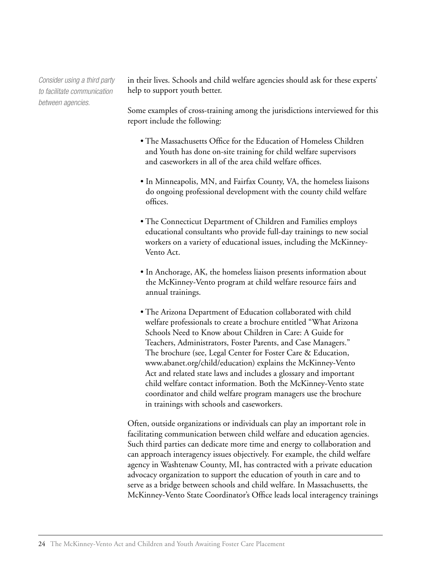Consider using a third party to facilitate communication between agencies.

in their lives. Schools and child welfare agencies should ask for these experts' help to support youth better.

Some examples of cross-training among the jurisdictions interviewed for this report include the following:

- The Massachusetts Office for the Education of Homeless Children and Youth has done on-site training for child welfare supervisors and caseworkers in all of the area child welfare offices.
- In Minneapolis, MN, and Fairfax County, VA, the homeless liaisons do ongoing professional development with the county child welfare offices.
- The Connecticut Department of Children and Families employs educational consultants who provide full-day trainings to new social workers on a variety of educational issues, including the McKinney-Vento Act.
- In Anchorage, AK, the homeless liaison presents information about the McKinney-Vento program at child welfare resource fairs and annual trainings.
- The Arizona Department of Education collaborated with child welfare professionals to create a brochure entitled "What Arizona Schools Need to Know about Children in Care: A Guide for Teachers, Administrators, Foster Parents, and Case Managers." The brochure (see, Legal Center for Foster Care & Education, www.abanet.org/child/education) explains the McKinney-Vento Act and related state laws and includes a glossary and important child welfare contact information. Both the McKinney-Vento state coordinator and child welfare program managers use the brochure in trainings with schools and caseworkers.

Often, outside organizations or individuals can play an important role in facilitating communication between child welfare and education agencies. Such third parties can dedicate more time and energy to collaboration and can approach interagency issues objectively. For example, the child welfare agency in Washtenaw County, MI, has contracted with a private education advocacy organization to support the education of youth in care and to serve as a bridge between schools and child welfare. In Massachusetts, the McKinney-Vento State Coordinator's Office leads local interagency trainings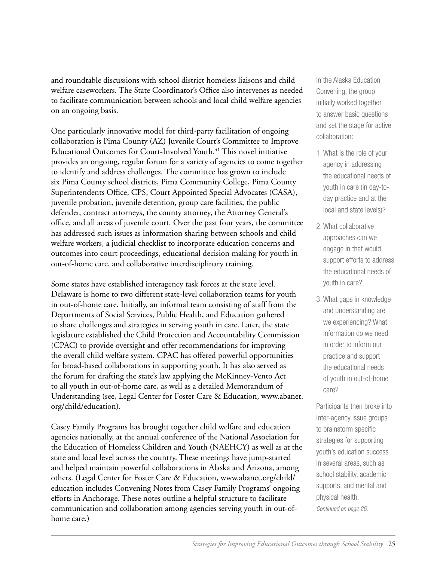and roundtable discussions with school district homeless liaisons and child welfare caseworkers. The State Coordinator's Office also intervenes as needed to facilitate communication between schools and local child welfare agencies on an ongoing basis.

One particularly innovative model for third-party facilitation of ongoing collaboration is Pima County (AZ) Juvenile Court's Committee to Improve Educational Outcomes for Court-Involved Youth.<sup>41</sup> This novel initiative provides an ongoing, regular forum for a variety of agencies to come together to identify and address challenges. The committee has grown to include six Pima County school districts, Pima Community College, Pima County Superintendents Office, CPS, Court Appointed Special Advocates (CASA), juvenile probation, juvenile detention, group care facilities, the public defender, contract attorneys, the county attorney, the Attorney General's office, and all areas of juvenile court. Over the past four years, the committee has addressed such issues as information sharing between schools and child welfare workers, a judicial checklist to incorporate education concerns and outcomes into court proceedings, educational decision making for youth in out-of-home care, and collaborative interdisciplinary training.

Some states have established interagency task forces at the state level. Delaware is home to two different state-level collaboration teams for youth in out-of-home care. Initially, an informal team consisting of staff from the Departments of Social Services, Public Health, and Education gathered to share challenges and strategies in serving youth in care. Later, the state legislature established the Child Protection and Accountability Commission (CPAC) to provide oversight and offer recommendations for improving the overall child welfare system. CPAC has offered powerful opportunities for broad-based collaborations in supporting youth. It has also served as the forum for drafting the state's law applying the McKinney-Vento Act to all youth in out-of-home care, as well as a detailed Memorandum of Understanding (see, Legal Center for Foster Care & Education, www.abanet. org/child/education).

Casey Family Programs has brought together child welfare and education agencies nationally, at the annual conference of the National Association for the Education of Homeless Children and Youth (NAEHCY) as well as at the state and local level across the country. These meetings have jump-started and helped maintain powerful collaborations in Alaska and Arizona, among others. (Legal Center for Foster Care & Education, www.abanet.org/child/ education includes Convening Notes from Casey Family Programs' ongoing efforts in Anchorage. These notes outline a helpful structure to facilitate communication and collaboration among agencies serving youth in out-ofhome care.)

In the Alaska Education Convening, the group initially worked together to answer basic questions and set the stage for active collaboration:

- 1. What is the role of your agency in addressing the educational needs of youth in care (in day-today practice and at the local and state levels)?
- 2. What collaborative approaches can we engage in that would support efforts to address the educational needs of youth in care?
- 3. What gaps in knowledge and understanding are we experiencing? What information do we need in order to inform our practice and support the educational needs of youth in out-of-home care?

Participants then broke into inter-agency issue groups to brainstorm specific strategies for supporting youth's education success in several areas, such as school stability, academic supports, and mental and physical health. Continued on page 26.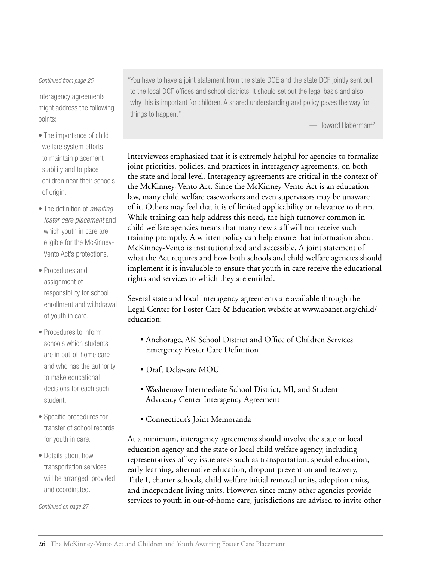Continued from page 25.

Interagency agreements might address the following points:

- The importance of child welfare system efforts to maintain placement stability and to place children near their schools of origin.
- The definition of *awaiting* foster care placement and which youth in care are eligible for the McKinney-Vento Act's protections.
- Procedures and assignment of responsibility for school enrollment and withdrawal of youth in care.
- Procedures to inform schools which students are in out-of-home care and who has the authority to make educational decisions for each such student.
- Specific procedures for transfer of school records for youth in care.
- Details about how transportation services will be arranged, provided, and coordinated.

Continued on page 27.

" You have to have a joint statement from the state DOE and the state DCF jointly sent out to the local DCF offices and school districts. It should set out the legal basis and also why this is important for children. A shared understanding and policy paves the way for things to happen."

— Howard Haberman<sup>42</sup>

Interviewees emphasized that it is extremely helpful for agencies to formalize joint priorities, policies, and practices in interagency agreements, on both the state and local level. Interagency agreements are critical in the context of the McKinney-Vento Act. Since the McKinney-Vento Act is an education law, many child welfare caseworkers and even supervisors may be unaware of it. Others may feel that it is of limited applicability or relevance to them. While training can help address this need, the high turnover common in child welfare agencies means that many new staff will not receive such training promptly. A written policy can help ensure that information about McKinney-Vento is institutionalized and accessible. A joint statement of what the Act requires and how both schools and child welfare agencies should implement it is invaluable to ensure that youth in care receive the educational rights and services to which they are entitled.

Several state and local interagency agreements are available through the Legal Center for Foster Care & Education website at www.abanet.org/child/ education:

- Anchorage, AK School District and Office of Children Services Emergency Foster Care Definition
- Draft Delaware MOU
- Washtenaw Intermediate School District, MI, and Student Advocacy Center Interagency Agreement
- Connecticut's Joint Memoranda

At a minimum, interagency agreements should involve the state or local education agency and the state or local child welfare agency, including representatives of key issue areas such as transportation, special education, early learning, alternative education, dropout prevention and recovery, Title I, charter schools, child welfare initial removal units, adoption units, and independent living units. However, since many other agencies provide services to youth in out-of-home care, jurisdictions are advised to invite other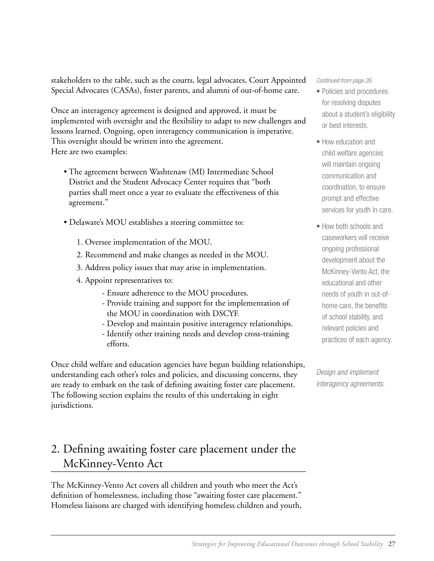<span id="page-30-0"></span>stakeholders to the table, such as the courts, legal advocates, Court Appointed Special Advocates (CASAs), foster parents, and alumni of out-of-home care.

Once an interagency agreement is designed and approved, it must be implemented with oversight and the flexibility to adapt to new challenges and lessons learned. Ongoing, open interagency communication is imperative. This oversight should be written into the agreement. Here are two examples:

- The agreement between Washtenaw (MI) Intermediate School District and the Student Advocacy Center requires that "both parties shall meet once a year to evaluate the effectiveness of this agreement."
- Delaware's MOU establishes a steering committee to:
	- 1. Oversee implementation of the MOU.
	- 2. Recommend and make changes as needed in the MOU.
	- 3. Address policy issues that may arise in implementation.
	- 4. Appoint representatives to:
		- Ensure adherence to the MOU procedures.
		- Provide training and support for the implementation of the MOU in coordination with DSCYF.
		- Develop and maintain positive interagency relationships.
		- Identify other training needs and develop cross-training efforts.

Once child welfare and education agencies have begun building relationships, understanding each other's roles and policies, and discussing concerns, they are ready to embark on the task of defining awaiting foster care placement. The following section explains the results of this undertaking in eight jurisdictions.

## 2. Defining awaiting foster care placement under the McKinney-Vento Act

The McKinney-Vento Act covers all children and youth who meet the Act's definition of homelessness, including those "awaiting foster care placement." Homeless liaisons are charged with identifying homeless children and youth, Continued from page 26.

- Policies and procedures for resolving disputes about a student's eligibility or best interests.
- How education and child welfare agencies will maintain ongoing communication and coordination, to ensure prompt and effective services for youth in care.
- How both schools and caseworkers will receive ongoing professional development about the McKinney-Vento Act, the educational and other needs of youth in out-ofhome care, the benefits of school stability, and relevant policies and practices of each agency.

Design and implement interagency agreements.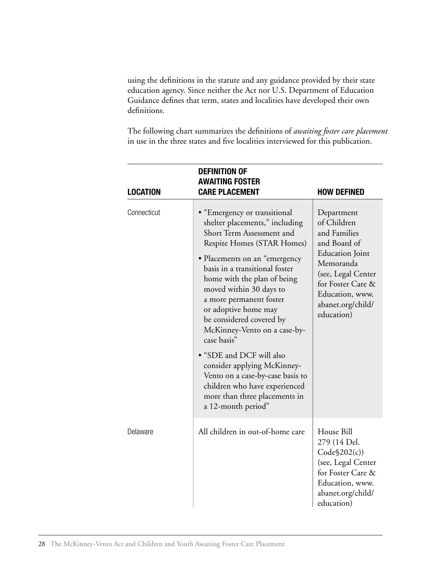using the definitions in the statute and any guidance provided by their state education agency. Since neither the Act nor U.S. Department of Education Guidance defines that term, states and localities have developed their own definitions.

The following chart summarizes the definitions of *awaiting foster care placement* in use in the three states and five localities interviewed for this publication.

| <b>LOCATION</b> | <b>DEFINITION OF</b><br><b>AWAITING FOSTER</b><br><b>CARE PLACEMENT</b>                                                                                                                                                                                                                                                                                                                                                                                                                                                                                                     | <b>HOW DEFINED</b>                                                                                                                                                                                |
|-----------------|-----------------------------------------------------------------------------------------------------------------------------------------------------------------------------------------------------------------------------------------------------------------------------------------------------------------------------------------------------------------------------------------------------------------------------------------------------------------------------------------------------------------------------------------------------------------------------|---------------------------------------------------------------------------------------------------------------------------------------------------------------------------------------------------|
| Connecticut     | • "Emergency or transitional<br>shelter placements," including<br>Short Term Assessment and<br>Respite Homes (STAR Homes)<br>• Placements on an "emergency<br>basis in a transitional foster<br>home with the plan of being<br>moved within 30 days to<br>a more permanent foster<br>or adoptive home may<br>be considered covered by<br>McKinney-Vento on a case-by-<br>case basis"<br>• "SDE and DCF will also<br>consider applying McKinney-<br>Vento on a case-by-case basis to<br>children who have experienced<br>more than three placements in<br>a 12-month period" | Department<br>of Children<br>and Families<br>and Board of<br><b>Education</b> Joint<br>Memoranda<br>(see, Legal Center<br>for Foster Care &<br>Education, www.<br>abanet.org/child/<br>education) |
| Delaware        | All children in out-of-home care                                                                                                                                                                                                                                                                                                                                                                                                                                                                                                                                            | House Bill<br>279 (14 Del.<br>Code\$202(c)<br>(see, Legal Center<br>for Foster Care &<br>Education, www.<br>abanet.org/child/<br>education)                                                       |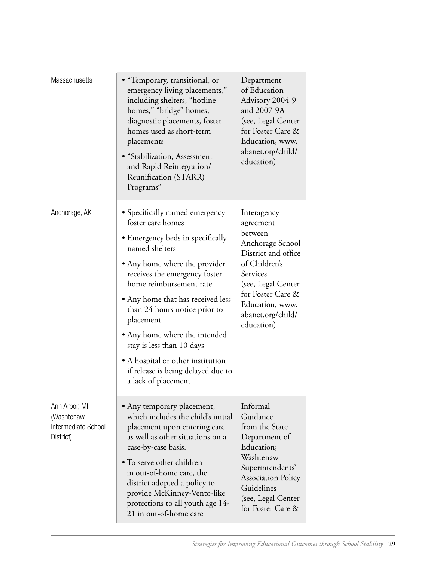| Massachusetts                                                   | • "Temporary, transitional, or<br>emergency living placements,"<br>including shelters, "hotline<br>homes," "bridge" homes,<br>diagnostic placements, foster<br>homes used as short-term<br>placements<br>• "Stabilization, Assessment<br>and Rapid Reintegration/<br>Reunification (STARR)<br>Programs"                                                                                                                                                   | Department<br>of Education<br>Advisory 2004-9<br>and 2007-9A<br>(see, Legal Center<br>for Foster Care &<br>Education, www.<br>abanet.org/child/<br>education)                                                |
|-----------------------------------------------------------------|-----------------------------------------------------------------------------------------------------------------------------------------------------------------------------------------------------------------------------------------------------------------------------------------------------------------------------------------------------------------------------------------------------------------------------------------------------------|--------------------------------------------------------------------------------------------------------------------------------------------------------------------------------------------------------------|
| Anchorage, AK                                                   | • Specifically named emergency<br>foster care homes<br>• Emergency beds in specifically<br>named shelters<br>• Any home where the provider<br>receives the emergency foster<br>home reimbursement rate<br>• Any home that has received less<br>than 24 hours notice prior to<br>placement<br>• Any home where the intended<br>stay is less than 10 days<br>• A hospital or other institution<br>if release is being delayed due to<br>a lack of placement | Interagency<br>agreement<br>between<br>Anchorage School<br>District and office<br>of Children's<br>Services<br>(see, Legal Center<br>for Foster Care &<br>Education, www.<br>abanet.org/child/<br>education) |
| Ann Arbor, MI<br>(Washtenaw<br>Intermediate School<br>District) | • Any temporary placement,<br>which includes the child's initial<br>placement upon entering care<br>as well as other situations on a<br>case-by-case basis.<br>• To serve other children<br>in out-of-home care, the<br>district adopted a policy to<br>provide McKinney-Vento-like<br>protections to all youth age 14-<br>21 in out-of-home care                                                                                                         | Informal<br>Guidance<br>from the State<br>Department of<br>Education;<br>Washtenaw<br>Superintendents'<br><b>Association Policy</b><br>Guidelines<br>(see, Legal Center<br>for Foster Care &                 |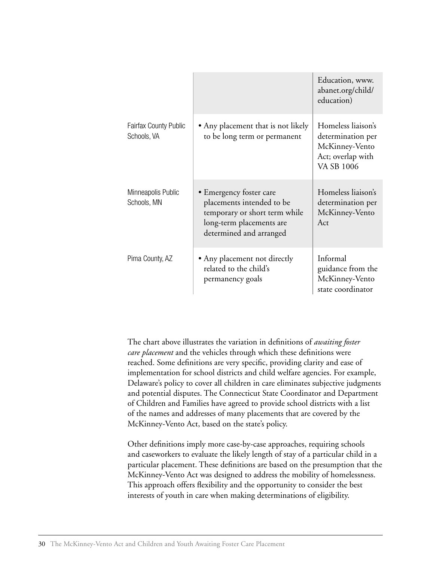|                                             |                                                                                                                                              | Education, www.<br>abanet.org/child/<br>education)                                                  |
|---------------------------------------------|----------------------------------------------------------------------------------------------------------------------------------------------|-----------------------------------------------------------------------------------------------------|
| <b>Fairfax County Public</b><br>Schools, VA | • Any placement that is not likely<br>to be long term or permanent                                                                           | Homeless liaison's<br>determination per<br>McKinney-Vento<br>Act; overlap with<br><b>VA SB 1006</b> |
| Minneapolis Public<br>Schools, MN           | • Emergency foster care<br>placements intended to be<br>temporary or short term while<br>long-term placements are<br>determined and arranged | Homeless liaison's<br>determination per<br>McKinney-Vento<br>Accr                                   |
| Pima County, AZ                             | • Any placement not directly<br>related to the child's<br>permanency goals                                                                   | Informal<br>guidance from the<br>McKinney-Vento<br>state coordinator                                |

The chart above illustrates the variation in definitions of *awaiting foster care placement* and the vehicles through which these definitions were reached. Some definitions are very specific, providing clarity and ease of implementation for school districts and child welfare agencies. For example, Delaware's policy to cover all children in care eliminates subjective judgments and potential disputes. The Connecticut State Coordinator and Department of Children and Families have agreed to provide school districts with a list of the names and addresses of many placements that are covered by the McKinney-Vento Act, based on the state's policy.

Other definitions imply more case-by-case approaches, requiring schools and caseworkers to evaluate the likely length of stay of a particular child in a particular placement. These definitions are based on the presumption that the McKinney-Vento Act was designed to address the mobility of homelessness. This approach offers flexibility and the opportunity to consider the best interests of youth in care when making determinations of eligibility.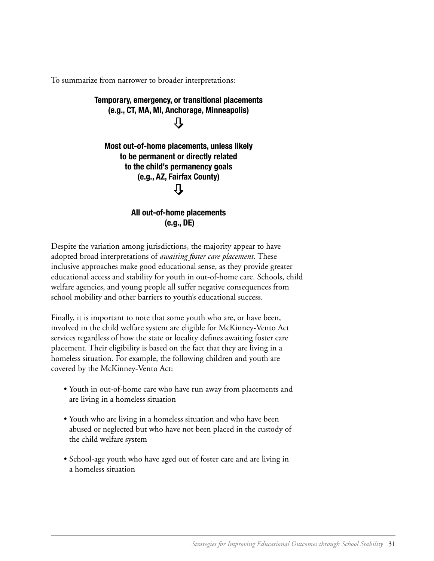To summarize from narrower to broader interpretations:

### **Temporary, emergency, or transitional placements (e.g., CT, MA, MI, Anchorage, Minneapolis)** Ί

### **Most out-of-home placements, unless likely to be permanent or directly related to the child's permanency goals (e.g., AZ, Fairfax County)** ſſ

#### **All out-of-home placements (e.g., DE)**

Despite the variation among jurisdictions, the majority appear to have adopted broad interpretations of *awaiting foster care placement*. These inclusive approaches make good educational sense, as they provide greater educational access and stability for youth in out-of-home care. Schools, child welfare agencies, and young people all suffer negative consequences from school mobility and other barriers to youth's educational success.

Finally, it is important to note that some youth who are, or have been, involved in the child welfare system are eligible for McKinney-Vento Act services regardless of how the state or locality defines awaiting foster care placement. Their eligibility is based on the fact that they are living in a homeless situation. For example, the following children and youth are covered by the McKinney-Vento Act:

- Youth in out-of-home care who have run away from placements and are living in a homeless situation
- Youth who are living in a homeless situation and who have been abused or neglected but who have not been placed in the custody of the child welfare system
- School-age youth who have aged out of foster care and are living in a homeless situation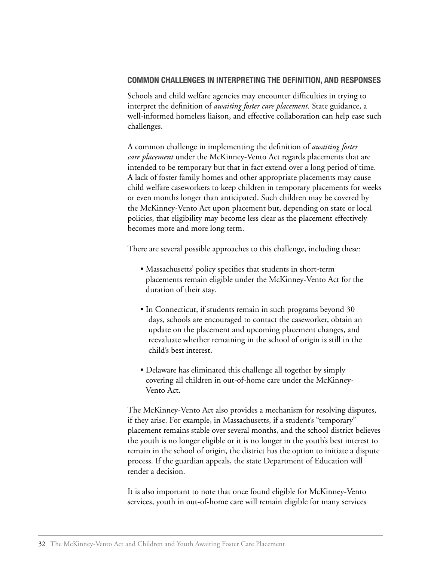#### **COMMON CHALLENGES IN INTERPRETING THE DEFINITION, AND RESPONSES**

Schools and child welfare agencies may encounter difficulties in trying to interpret the definition of *awaiting foster care placement*. State guidance, a well-informed homeless liaison, and effective collaboration can help ease such challenges.

A common challenge in implementing the definition of *awaiting foster care placement* under the McKinney-Vento Act regards placements that are intended to be temporary but that in fact extend over a long period of time. A lack of foster family homes and other appropriate placements may cause child welfare caseworkers to keep children in temporary placements for weeks or even months longer than anticipated. Such children may be covered by the McKinney-Vento Act upon placement but, depending on state or local policies, that eligibility may become less clear as the placement effectively becomes more and more long term.

There are several possible approaches to this challenge, including these:

- Massachusetts' policy specifies that students in short-term placements remain eligible under the McKinney-Vento Act for the duration of their stay.
- In Connecticut, if students remain in such programs beyond 30 days, schools are encouraged to contact the caseworker, obtain an update on the placement and upcoming placement changes, and reevaluate whether remaining in the school of origin is still in the child's best interest.
- Delaware has eliminated this challenge all together by simply covering all children in out-of-home care under the McKinney-Vento Act.

The McKinney-Vento Act also provides a mechanism for resolving disputes, if they arise. For example, in Massachusetts, if a student's "temporary" placement remains stable over several months, and the school district believes the youth is no longer eligible or it is no longer in the youth's best interest to remain in the school of origin, the district has the option to initiate a dispute process. If the guardian appeals, the state Department of Education will render a decision.

It is also important to note that once found eligible for McKinney-Vento services, youth in out-of-home care will remain eligible for many services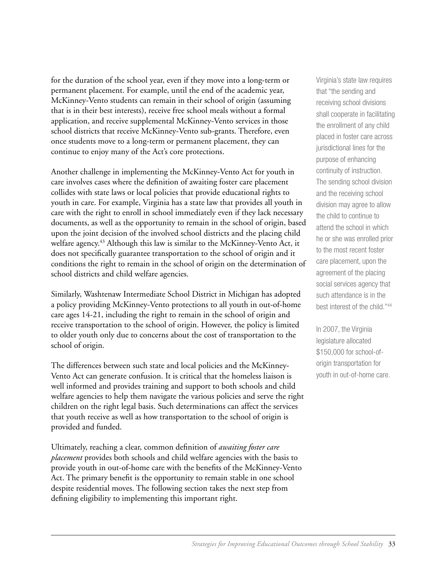for the duration of the school year, even if they move into a long-term or permanent placement. For example, until the end of the academic year, McKinney-Vento students can remain in their school of origin (assuming that is in their best interests), receive free school meals without a formal application, and receive supplemental McKinney-Vento services in those school districts that receive McKinney-Vento sub-grants. Therefore, even once students move to a long-term or permanent placement, they can continue to enjoy many of the Act's core protections.

Another challenge in implementing the McKinney-Vento Act for youth in care involves cases where the definition of awaiting foster care placement collides with state laws or local policies that provide educational rights to youth in care. For example, Virginia has a state law that provides all youth in care with the right to enroll in school immediately even if they lack necessary documents, as well as the opportunity to remain in the school of origin, based upon the joint decision of the involved school districts and the placing child welfare agency.<sup>43</sup> Although this law is similar to the McKinney-Vento Act, it does not specifically guarantee transportation to the school of origin and it conditions the right to remain in the school of origin on the determination of school districts and child welfare agencies.

Similarly, Washtenaw Intermediate School District in Michigan has adopted a policy providing McKinney-Vento protections to all youth in out-of-home care ages 14-21, including the right to remain in the school of origin and receive transportation to the school of origin. However, the policy is limited to older youth only due to concerns about the cost of transportation to the school of origin.

The differences between such state and local policies and the McKinney-Vento Act can generate confusion. It is critical that the homeless liaison is well informed and provides training and support to both schools and child welfare agencies to help them navigate the various policies and serve the right children on the right legal basis. Such determinations can affect the services that youth receive as well as how transportation to the school of origin is provided and funded.

Ultimately, reaching a clear, common definition of *awaiting foster care placement* provides both schools and child welfare agencies with the basis to provide youth in out-of-home care with the benefits of the McKinney-Vento Act. The primary benefit is the opportunity to remain stable in one school despite residential moves. The following section takes the next step from defining eligibility to implementing this important right.

Virginia's state law requires that "the sending and receiving school divisions shall cooperate in facilitating the enrollment of any child placed in foster care across jurisdictional lines for the purpose of enhancing continuity of instruction. The sending school division and the receiving school division may agree to allow the child to continue to attend the school in which he or she was enrolled prior to the most recent foster care placement, upon the agreement of the placing social services agency that such attendance is in the best interest of the child."44

In 2007, the Virginia legislature allocated \$150,000 for school-oforigin transportation for youth in out-of-home care.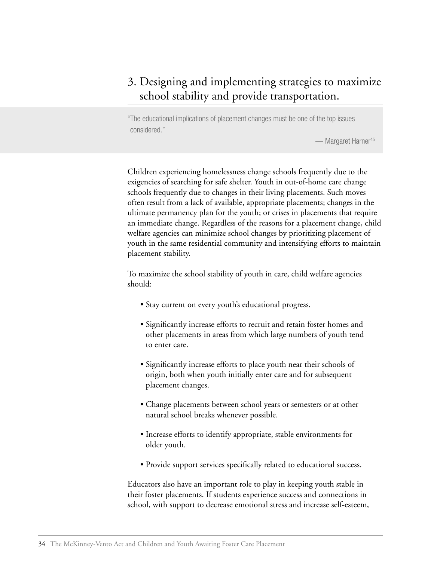## 3. Designing and implementing strategies to maximize school stability and provide transportation.

" The educational implications of placement changes must be one of the top issues considered."

— Margaret Harner<sup>45</sup>

Children experiencing homelessness change schools frequently due to the exigencies of searching for safe shelter. Youth in out-of-home care change schools frequently due to changes in their living placements. Such moves often result from a lack of available, appropriate placements; changes in the ultimate permanency plan for the youth; or crises in placements that require an immediate change. Regardless of the reasons for a placement change, child welfare agencies can minimize school changes by prioritizing placement of youth in the same residential community and intensifying efforts to maintain placement stability.

To maximize the school stability of youth in care, child welfare agencies should:

- Stay current on every youth's educational progress.
- Significantly increase efforts to recruit and retain foster homes and other placements in areas from which large numbers of youth tend to enter care.
- Significantly increase efforts to place youth near their schools of origin, both when youth initially enter care and for subsequent placement changes.
- Change placements between school years or semesters or at other natural school breaks whenever possible.
- Increase efforts to identify appropriate, stable environments for older youth.
- Provide support services specifically related to educational success.

Educators also have an important role to play in keeping youth stable in their foster placements. If students experience success and connections in school, with support to decrease emotional stress and increase self-esteem,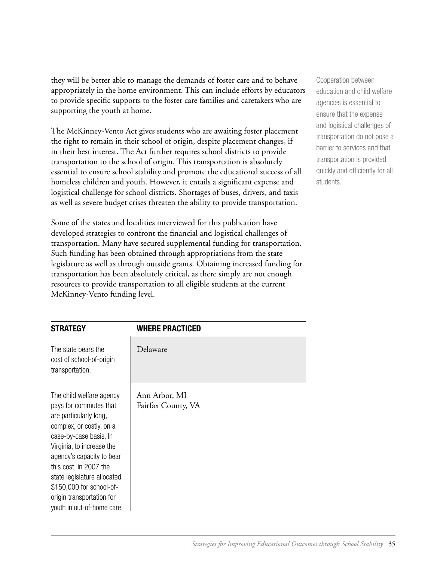they will be better able to manage the demands of foster care and to behave appropriately in the home environment. This can include efforts by educators to provide specific supports to the foster care families and caretakers who are supporting the youth at home.

The McKinney-Vento Act gives students who are awaiting foster placement the right to remain in their school of origin, despite placement changes, if in their best interest. The Act further requires school districts to provide transportation to the school of origin. This transportation is absolutely essential to ensure school stability and promote the educational success of all homeless children and youth. However, it entails a significant expense and logistical challenge for school districts. Shortages of buses, drivers, and taxis as well as severe budget crises threaten the ability to provide transportation.

Some of the states and localities interviewed for this publication have developed strategies to confront the financial and logistical challenges of transportation. Many have secured supplemental funding for transportation. Such funding has been obtained through appropriations from the state legislature as well as through outside grants. Obtaining increased funding for transportation has been absolutely critical, as there simply are not enough resources to provide transportation to all eligible students at the current McKinney-Vento funding level.

Cooperation between education and child welfare agencies is essential to ensure that the expense and logistical challenges of transportation do not pose a barrier to services and that transportation is provided quickly and efficiently for all students.

| <b>WHERE PRACTICED</b><br>Delaware  |
|-------------------------------------|
|                                     |
|                                     |
| Ann Arbor, MI<br>Fairfax County, VA |
|                                     |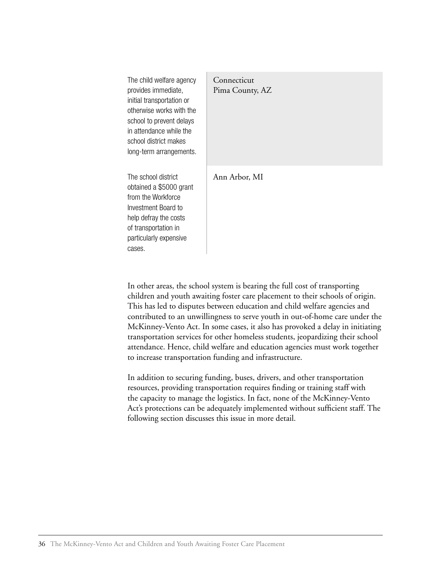The child welfare agency provides immediate, initial transportation or otherwise works with the school to prevent delays in attendance while the school district makes long-term arrangements.

The school district obtained a \$5000 grant from the Workforce Investment Board to help defray the costs of transportation in particularly expensive cases.

Connecticut Pima County, AZ

Ann Arbor, MI

In other areas, the school system is bearing the full cost of transporting children and youth awaiting foster care placement to their schools of origin. This has led to disputes between education and child welfare agencies and contributed to an unwillingness to serve youth in out-of-home care under the McKinney-Vento Act. In some cases, it also has provoked a delay in initiating transportation services for other homeless students, jeopardizing their school attendance. Hence, child welfare and education agencies must work together to increase transportation funding and infrastructure.

In addition to securing funding, buses, drivers, and other transportation resources, providing transportation requires finding or training staff with the capacity to manage the logistics. In fact, none of the McKinney-Vento Act's protections can be adequately implemented without sufficient staff. The following section discusses this issue in more detail.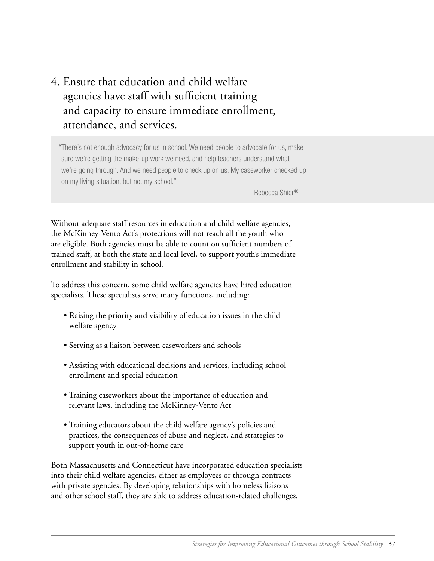## 4. Ensure that education and child welfare agencies have staff with sufficient training and capacity to ensure immediate enrollment, attendance, and services.

" There's not enough advocacy for us in school. We need people to advocate for us, make sure we're getting the make-up work we need, and help teachers understand what we're going through. And we need people to check up on us. My caseworker checked up on my living situation, but not my school."

— Rebecca Shier46

Without adequate staff resources in education and child welfare agencies, the McKinney-Vento Act's protections will not reach all the youth who are eligible. Both agencies must be able to count on sufficient numbers of trained staff, at both the state and local level, to support youth's immediate enrollment and stability in school.

To address this concern, some child welfare agencies have hired education specialists. These specialists serve many functions, including:

- Raising the priority and visibility of education issues in the child welfare agency
- Serving as a liaison between caseworkers and schools
- Assisting with educational decisions and services, including school enrollment and special education
- Training caseworkers about the importance of education and relevant laws, including the McKinney-Vento Act
- Training educators about the child welfare agency's policies and practices, the consequences of abuse and neglect, and strategies to support youth in out-of-home care

Both Massachusetts and Connecticut have incorporated education specialists into their child welfare agencies, either as employees or through contracts with private agencies. By developing relationships with homeless liaisons and other school staff, they are able to address education-related challenges.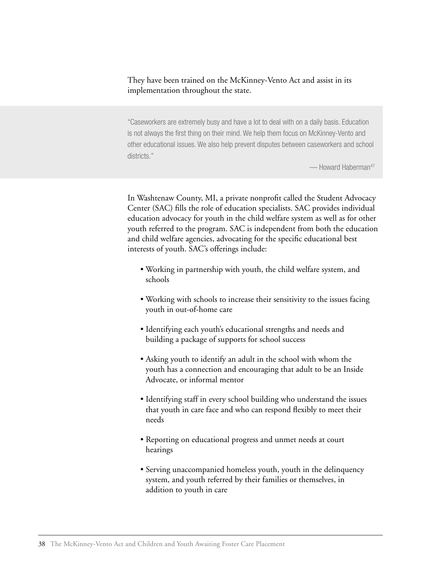They have been trained on the McKinney-Vento Act and assist in its implementation throughout the state.

"Caseworkers are extremely busy and have a lot to deal with on a daily basis. Education is not always the first thing on their mind. We help them focus on McKinney-Vento and other educational issues. We also help prevent disputes between caseworkers and school districts."

— Howard Haberman<sup>47</sup>

In Washtenaw County, MI, a private nonprofit called the Student Advocacy Center (SAC) fills the role of education specialists. SAC provides individual education advocacy for youth in the child welfare system as well as for other youth referred to the program. SAC is independent from both the education and child welfare agencies, advocating for the specific educational best interests of youth. SAC's offerings include:

- Working in partnership with youth, the child welfare system, and schools
- Working with schools to increase their sensitivity to the issues facing youth in out-of-home care
- Identifying each youth's educational strengths and needs and building a package of supports for school success
- Asking youth to identify an adult in the school with whom the youth has a connection and encouraging that adult to be an Inside Advocate, or informal mentor
- Identifying staff in every school building who understand the issues that youth in care face and who can respond flexibly to meet their needs
- Reporting on educational progress and unmet needs at court hearings
- Serving unaccompanied homeless youth, youth in the delinquency system, and youth referred by their families or themselves, in addition to youth in care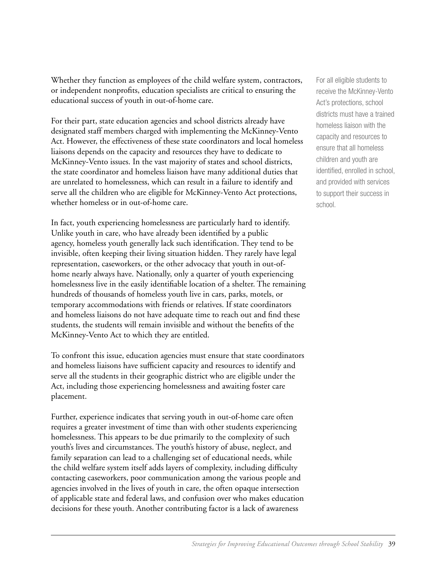Whether they function as employees of the child welfare system, contractors, or independent nonprofits, education specialists are critical to ensuring the educational success of youth in out-of-home care.

For their part, state education agencies and school districts already have designated staff members charged with implementing the McKinney-Vento Act. However, the effectiveness of these state coordinators and local homeless liaisons depends on the capacity and resources they have to dedicate to McKinney-Vento issues. In the vast majority of states and school districts, the state coordinator and homeless liaison have many additional duties that are unrelated to homelessness, which can result in a failure to identify and serve all the children who are eligible for McKinney-Vento Act protections, whether homeless or in out-of-home care.

In fact, youth experiencing homelessness are particularly hard to identify. Unlike youth in care, who have already been identified by a public agency, homeless youth generally lack such identification. They tend to be invisible, often keeping their living situation hidden. They rarely have legal representation, caseworkers, or the other advocacy that youth in out-ofhome nearly always have. Nationally, only a quarter of youth experiencing homelessness live in the easily identifiable location of a shelter. The remaining hundreds of thousands of homeless youth live in cars, parks, motels, or temporary accommodations with friends or relatives. If state coordinators and homeless liaisons do not have adequate time to reach out and find these students, the students will remain invisible and without the benefits of the McKinney-Vento Act to which they are entitled.

To confront this issue, education agencies must ensure that state coordinators and homeless liaisons have sufficient capacity and resources to identify and serve all the students in their geographic district who are eligible under the Act, including those experiencing homelessness and awaiting foster care placement.

Further, experience indicates that serving youth in out-of-home care often requires a greater investment of time than with other students experiencing homelessness. This appears to be due primarily to the complexity of such youth's lives and circumstances. The youth's history of abuse, neglect, and family separation can lead to a challenging set of educational needs, while the child welfare system itself adds layers of complexity, including difficulty contacting caseworkers, poor communication among the various people and agencies involved in the lives of youth in care, the often opaque intersection of applicable state and federal laws, and confusion over who makes education decisions for these youth. Another contributing factor is a lack of awareness

For all eligible students to receive the McKinney-Vento Act's protections, school districts must have a trained homeless liaison with the capacity and resources to ensure that all homeless children and youth are identified, enrolled in school, and provided with services to support their success in school.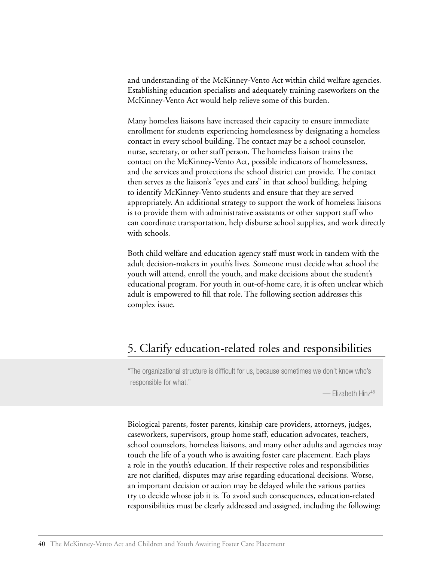and understanding of the McKinney-Vento Act within child welfare agencies. Establishing education specialists and adequately training caseworkers on the McKinney-Vento Act would help relieve some of this burden.

Many homeless liaisons have increased their capacity to ensure immediate enrollment for students experiencing homelessness by designating a homeless contact in every school building. The contact may be a school counselor, nurse, secretary, or other staff person. The homeless liaison trains the contact on the McKinney-Vento Act, possible indicators of homelessness, and the services and protections the school district can provide. The contact then serves as the liaison's "eyes and ears" in that school building, helping to identify McKinney-Vento students and ensure that they are served appropriately. An additional strategy to support the work of homeless liaisons is to provide them with administrative assistants or other support staff who can coordinate transportation, help disburse school supplies, and work directly with schools.

Both child welfare and education agency staff must work in tandem with the adult decision-makers in youth's lives. Someone must decide what school the youth will attend, enroll the youth, and make decisions about the student's educational program. For youth in out-of-home care, it is often unclear which adult is empowered to fill that role. The following section addresses this complex issue.

## 5. Clarify education-related roles and responsibilities

" The organizational structure is difficult for us, because sometimes we don't know who's responsible for what."

— Elizabeth Hinz48

Biological parents, foster parents, kinship care providers, attorneys, judges, caseworkers, supervisors, group home staff, education advocates, teachers, school counselors, homeless liaisons, and many other adults and agencies may touch the life of a youth who is awaiting foster care placement. Each plays a role in the youth's education. If their respective roles and responsibilities are not clarified, disputes may arise regarding educational decisions. Worse, an important decision or action may be delayed while the various parties try to decide whose job it is. To avoid such consequences, education-related responsibilities must be clearly addressed and assigned, including the following: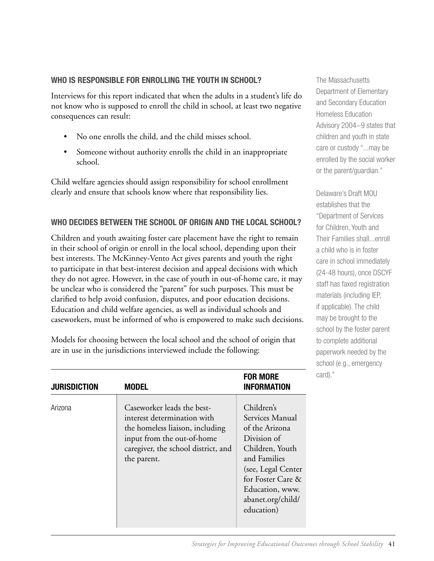#### **WHO IS RESPONSIBLE FOR ENROLLING THE YOUTH IN SCHOOL?**

Interviews for this report indicated that when the adults in a student's life do not know who is supposed to enroll the child in school, at least two negative consequences can result:

- No one enrolls the child, and the child misses school.
- Someone without authority enrolls the child in an inappropriate school.

Child welfare agencies should assign responsibility for school enrollment clearly and ensure that schools know where that responsibility lies.

#### **WHO DECIDES BETWEEN THE SCHOOL OF ORIGIN AND THE LOCAL SCHOOL?**

Children and youth awaiting foster care placement have the right to remain in their school of origin or enroll in the local school, depending upon their best interests. The McKinney-Vento Act gives parents and youth the right to participate in that best-interest decision and appeal decisions with which they do not agree. However, in the case of youth in out-of-home care, it may be unclear who is considered the "parent" for such purposes. This must be clarified to help avoid confusion, disputes, and poor education decisions. Education and child welfare agencies, as well as individual schools and caseworkers, must be informed of who is empowered to make such decisions.

**JURISDICTION** Arizona **MODEL** Caseworker leads the bestinterest determination with the homeless liaison, including input from the out-of-home caregiver, the school district, and the parent. **FOR MORE INFORMATION** Children's Services Manual of the Arizona Division of Children, Youth and Families (see, Legal Center for Foster Care & Education, www. abanet.org/child/ education)

Models for choosing between the local school and the school of origin that are in use in the jurisdictions interviewed include the following:

The Massachusetts Department of Elementary and Secondary Education Homeless Education Advisory 2004−9 states that children and youth in state care or custody "...may be enrolled by the social worker or the parent/guardian."

Delaware's Draft MOU establishes that the "Department of Services for Children, Youth and Their Families shall...enroll a child who is in foster care in school immediately (24-48 hours), once DSCYF staff has faxed registration materials (including IEP, if applicable). The child may be brought to the school by the foster parent to complete additional paperwork needed by the school (e.g., emergency card)."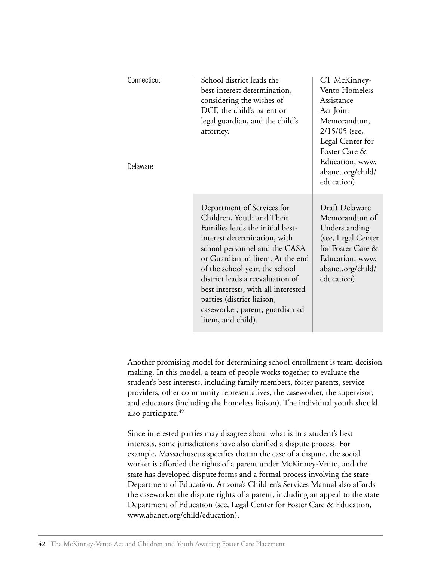| Connecticut<br>Delaware | School district leads the<br>best-interest determination,<br>considering the wishes of<br>DCF, the child's parent or<br>legal guardian, and the child's<br>attorney.                                                                                                                                                                                                                                 | CT McKinney-<br>Vento Homeless<br>Assistance<br>Act Joint<br>Memorandum,<br>$2/15/05$ (see,<br>Legal Center for<br>Foster Care &<br>Education, www.<br>abanet.org/child/<br>education) |
|-------------------------|------------------------------------------------------------------------------------------------------------------------------------------------------------------------------------------------------------------------------------------------------------------------------------------------------------------------------------------------------------------------------------------------------|----------------------------------------------------------------------------------------------------------------------------------------------------------------------------------------|
|                         | Department of Services for<br>Children, Youth and Their<br>Families leads the initial best-<br>interest determination, with<br>school personnel and the CASA<br>or Guardian ad litem. At the end<br>of the school year, the school<br>district leads a reevaluation of<br>best interests, with all interested<br>parties (district liaison,<br>caseworker, parent, guardian ad<br>litem, and child). | Draft Delaware<br>Memorandum of<br>Understanding<br>(see, Legal Center<br>for Foster Care &<br>Education, www.<br>abanet.org/child/<br>education)                                      |

Another promising model for determining school enrollment is team decision making. In this model, a team of people works together to evaluate the student's best interests, including family members, foster parents, service providers, other community representatives, the caseworker, the supervisor, and educators (including the homeless liaison). The individual youth should also participate.<sup>49</sup>

Since interested parties may disagree about what is in a student's best interests, some jurisdictions have also clarified a dispute process. For example, Massachusetts specifies that in the case of a dispute, the social worker is afforded the rights of a parent under McKinney-Vento, and the state has developed dispute forms and a formal process involving the state Department of Education. Arizona's Children's Services Manual also affords the caseworker the dispute rights of a parent, including an appeal to the state Department of Education (see, Legal Center for Foster Care & Education, www.abanet.org/child/education).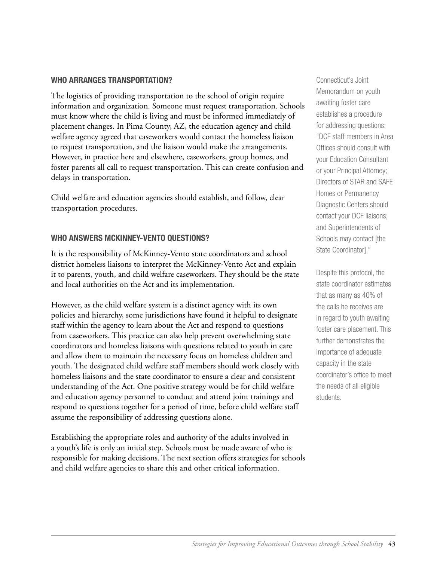#### **WHO ARRANGES TRANSPORTATION?**

The logistics of providing transportation to the school of origin require information and organization. Someone must request transportation. Schools must know where the child is living and must be informed immediately of placement changes. In Pima County, AZ, the education agency and child welfare agency agreed that caseworkers would contact the homeless liaison to request transportation, and the liaison would make the arrangements. However, in practice here and elsewhere, caseworkers, group homes, and foster parents all call to request transportation. This can create confusion and delays in transportation.

Child welfare and education agencies should establish, and follow, clear transportation procedures.

#### **WHO ANSWERS MCKINNEY-VENTO QUESTIONS?**

It is the responsibility of McKinney-Vento state coordinators and school district homeless liaisons to interpret the McKinney-Vento Act and explain it to parents, youth, and child welfare caseworkers. They should be the state and local authorities on the Act and its implementation.

However, as the child welfare system is a distinct agency with its own policies and hierarchy, some jurisdictions have found it helpful to designate staff within the agency to learn about the Act and respond to questions from caseworkers. This practice can also help prevent overwhelming state coordinators and homeless liaisons with questions related to youth in care and allow them to maintain the necessary focus on homeless children and youth. The designated child welfare staff members should work closely with homeless liaisons and the state coordinator to ensure a clear and consistent understanding of the Act. One positive strategy would be for child welfare and education agency personnel to conduct and attend joint trainings and respond to questions together for a period of time, before child welfare staff assume the responsibility of addressing questions alone.

Establishing the appropriate roles and authority of the adults involved in a youth's life is only an initial step. Schools must be made aware of who is responsible for making decisions. The next section offers strategies for schools and child welfare agencies to share this and other critical information.

Connecticut's Joint Memorandum on youth awaiting foster care establishes a procedure for addressing questions: "DCF staff members in Area Offices should consult with your Education Consultant or your Principal Attorney; Directors of STAR and SAFE Homes or Permanency Diagnostic Centers should contact your DCF liaisons; and Superintendents of Schools may contact [the State Coordinator]."

Despite this protocol, the state coordinator estimates that as many as 40% of the calls he receives are in regard to youth awaiting foster care placement. This further demonstrates the importance of adequate capacity in the state coordinator's office to meet the needs of all eligible students.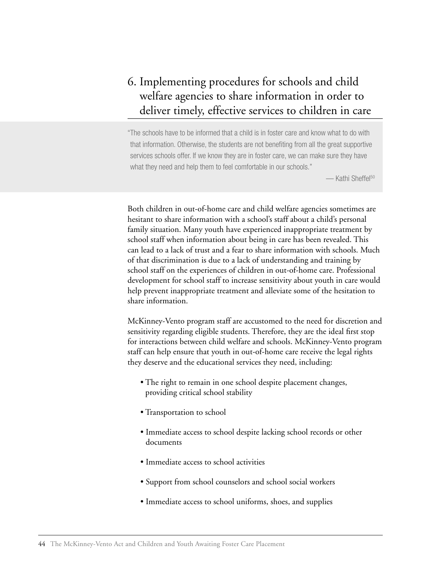## 6. Implementing procedures for schools and child welfare agencies to share information in order to deliver timely, effective services to children in care

" The schools have to be informed that a child is in foster care and know what to do with that information. Otherwise, the students are not benefiting from all the great supportive services schools offer. If we know they are in foster care, we can make sure they have what they need and help them to feel comfortable in our schools."

— Kathi Sheffel<sup>50</sup>

Both children in out-of-home care and child welfare agencies sometimes are hesitant to share information with a school's staff about a child's personal family situation. Many youth have experienced inappropriate treatment by school staff when information about being in care has been revealed. This can lead to a lack of trust and a fear to share information with schools. Much of that discrimination is due to a lack of understanding and training by school staff on the experiences of children in out-of-home care. Professional development for school staff to increase sensitivity about youth in care would help prevent inappropriate treatment and alleviate some of the hesitation to share information.

McKinney-Vento program staff are accustomed to the need for discretion and sensitivity regarding eligible students. Therefore, they are the ideal first stop for interactions between child welfare and schools. McKinney-Vento program staff can help ensure that youth in out-of-home care receive the legal rights they deserve and the educational services they need, including:

- The right to remain in one school despite placement changes, providing critical school stability
- Transportation to school
- Immediate access to school despite lacking school records or other documents
- Immediate access to school activities
- Support from school counselors and school social workers
- Immediate access to school uniforms, shoes, and supplies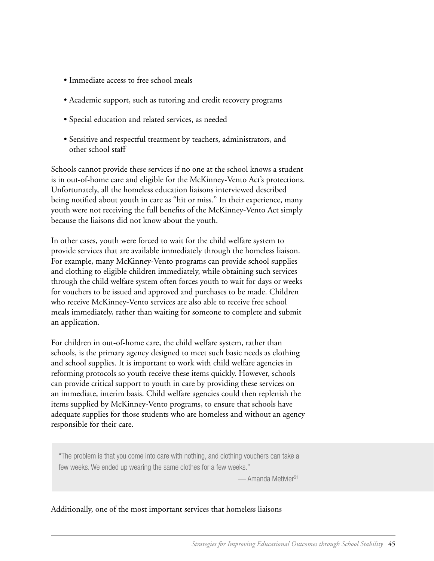- Immediate access to free school meals
- Academic support, such as tutoring and credit recovery programs
- Special education and related services, as needed
- Sensitive and respectful treatment by teachers, administrators, and other school staff

Schools cannot provide these services if no one at the school knows a student is in out-of-home care and eligible for the McKinney-Vento Act's protections. Unfortunately, all the homeless education liaisons interviewed described being notified about youth in care as "hit or miss." In their experience, many youth were not receiving the full benefits of the McKinney-Vento Act simply because the liaisons did not know about the youth.

In other cases, youth were forced to wait for the child welfare system to provide services that are available immediately through the homeless liaison. For example, many McKinney-Vento programs can provide school supplies and clothing to eligible children immediately, while obtaining such services through the child welfare system often forces youth to wait for days or weeks for vouchers to be issued and approved and purchases to be made. Children who receive McKinney-Vento services are also able to receive free school meals immediately, rather than waiting for someone to complete and submit an application.

For children in out-of-home care, the child welfare system, rather than schools, is the primary agency designed to meet such basic needs as clothing and school supplies. It is important to work with child welfare agencies in reforming protocols so youth receive these items quickly. However, schools can provide critical support to youth in care by providing these services on an immediate, interim basis. Child welfare agencies could then replenish the items supplied by McKinney-Vento programs, to ensure that schools have adequate supplies for those students who are homeless and without an agency responsible for their care.

"The problem is that you come into care with nothing, and clothing vouchers can take a few weeks. We ended up wearing the same clothes for a few weeks."

 $-$  Amanda Metivier<sup>51</sup>

#### Additionally, one of the most important services that homeless liaisons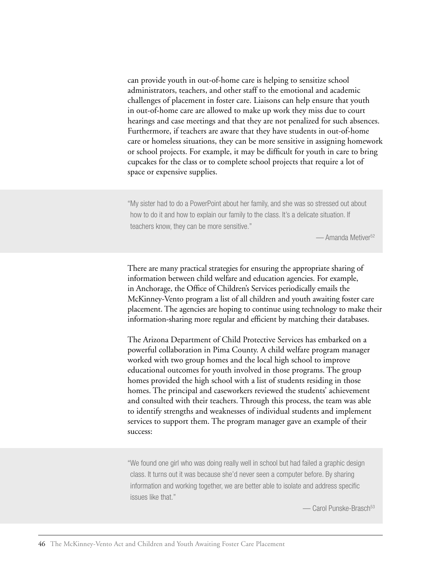can provide youth in out-of-home care is helping to sensitize school administrators, teachers, and other staff to the emotional and academic challenges of placement in foster care. Liaisons can help ensure that youth in out-of-home care are allowed to make up work they miss due to court hearings and case meetings and that they are not penalized for such absences. Furthermore, if teachers are aware that they have students in out-of-home care or homeless situations, they can be more sensitive in assigning homework or school projects. For example, it may be difficult for youth in care to bring cupcakes for the class or to complete school projects that require a lot of space or expensive supplies.

" My sister had to do a PowerPoint about her family, and she was so stressed out about how to do it and how to explain our family to the class. It's a delicate situation. If teachers know, they can be more sensitive."

— Amanda Metiver52

There are many practical strategies for ensuring the appropriate sharing of information between child welfare and education agencies. For example, in Anchorage, the Office of Children's Services periodically emails the McKinney-Vento program a list of all children and youth awaiting foster care placement. The agencies are hoping to continue using technology to make their information-sharing more regular and efficient by matching their databases.

The Arizona Department of Child Protective Services has embarked on a powerful collaboration in Pima County. A child welfare program manager worked with two group homes and the local high school to improve educational outcomes for youth involved in those programs. The group homes provided the high school with a list of students residing in those homes. The principal and caseworkers reviewed the students' achievement and consulted with their teachers. Through this process, the team was able to identify strengths and weaknesses of individual students and implement services to support them. The program manager gave an example of their success:

" We found one girl who was doing really well in school but had failed a graphic design class. It turns out it was because she'd never seen a computer before. By sharing information and working together, we are better able to isolate and address specific issues like that."

— Carol Punske-Brasch53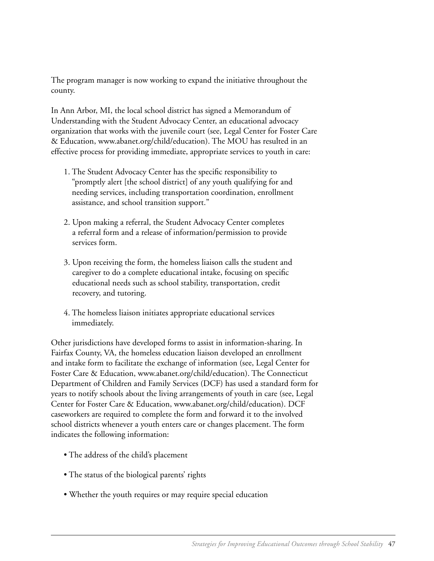The program manager is now working to expand the initiative throughout the county.

In Ann Arbor, MI, the local school district has signed a Memorandum of Understanding with the Student Advocacy Center, an educational advocacy organization that works with the juvenile court (see, Legal Center for Foster Care & Education, www.abanet.org/child/education). The MOU has resulted in an effective process for providing immediate, appropriate services to youth in care:

- 1. The Student Advocacy Center has the specific responsibility to "promptly alert [the school district] of any youth qualifying for and needing services, including transportation coordination, enrollment assistance, and school transition support."
- 2. Upon making a referral, the Student Advocacy Center completes a referral form and a release of information/permission to provide services form.
- 3. Upon receiving the form, the homeless liaison calls the student and caregiver to do a complete educational intake, focusing on specific educational needs such as school stability, transportation, credit recovery, and tutoring.
- 4. The homeless liaison initiates appropriate educational services immediately.

Other jurisdictions have developed forms to assist in information-sharing. In Fairfax County, VA, the homeless education liaison developed an enrollment and intake form to facilitate the exchange of information (see, Legal Center for Foster Care & Education, www.abanet.org/child/education). The Connecticut Department of Children and Family Services (DCF) has used a standard form for years to notify schools about the living arrangements of youth in care (see, Legal Center for Foster Care & Education, www.abanet.org/child/education). DCF caseworkers are required to complete the form and forward it to the involved school districts whenever a youth enters care or changes placement. The form indicates the following information:

- The address of the child's placement
- The status of the biological parents' rights
- Whether the youth requires or may require special education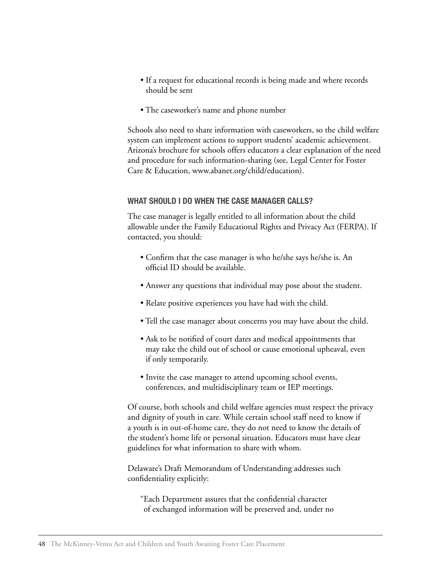- If a request for educational records is being made and where records should be sent
- The caseworker's name and phone number

Schools also need to share information with caseworkers, so the child welfare system can implement actions to support students' academic achievement. Arizona's brochure for schools offers educators a clear explanation of the need and procedure for such information-sharing (see, Legal Center for Foster Care & Education, www.abanet.org/child/education).

#### **WHAT SHOULD I DO WHEN THE CASE MANAGER CALLS?**

The case manager is legally entitled to all information about the child allowable under the Family Educational Rights and Privacy Act (FERPA). If contacted, you should:

- Confirm that the case manager is who he/she says he/she is. An official ID should be available.
- Answer any questions that individual may pose about the student.
- Relate positive experiences you have had with the child.
- Tell the case manager about concerns you may have about the child.
- Ask to be notified of court dates and medical appointments that may take the child out of school or cause emotional upheaval, even if only temporarily.
- Invite the case manager to attend upcoming school events, conferences, and multidisciplinary team or IEP meetings.

Of course, both schools and child welfare agencies must respect the privacy and dignity of youth in care. While certain school staff need to know if a youth is in out-of-home care, they do not need to know the details of the student's home life or personal situation. Educators must have clear guidelines for what information to share with whom.

Delaware's Draft Memorandum of Understanding addresses such confidentiality explicitly:

" Each Department assures that the confidential character of exchanged information will be preserved and, under no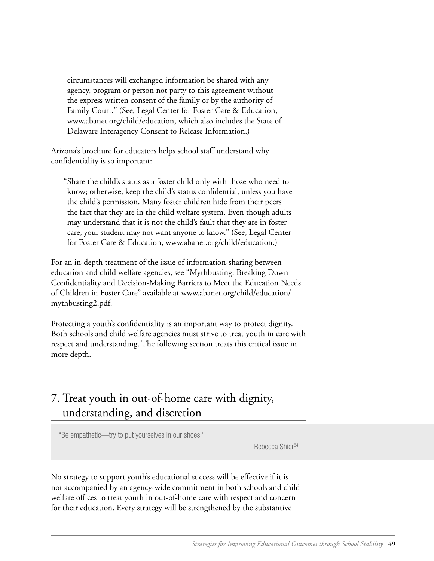circumstances will exchanged information be shared with any agency, program or person not party to this agreement without the express written consent of the family or by the authority of Family Court." (See, Legal Center for Foster Care & Education, www.abanet.org/child/education, which also includes the State of Delaware Interagency Consent to Release Information.)

Arizona's brochure for educators helps school staff understand why confidentiality is so important:

" Share the child's status as a foster child only with those who need to know; otherwise, keep the child's status confidential, unless you have the child's permission. Many foster children hide from their peers the fact that they are in the child welfare system. Even though adults may understand that it is not the child's fault that they are in foster care, your student may not want anyone to know." (See, Legal Center for Foster Care & Education, www.abanet.org/child/education.)

For an in-depth treatment of the issue of information-sharing between education and child welfare agencies, see "Mythbusting: Breaking Down Confidentiality and Decision-Making Barriers to Meet the Education Needs of Children in Foster Care" available at www.abanet.org/child/education/ mythbusting2.pdf.

Protecting a youth's confidentiality is an important way to protect dignity. Both schools and child welfare agencies must strive to treat youth in care with respect and understanding. The following section treats this critical issue in more depth.

## 7. Treat youth in out-of-home care with dignity, understanding, and discretion

"Be empathetic—try to put yourselves in our shoes."

- Rebecca Shier<sup>54</sup>

No strategy to support youth's educational success will be effective if it is not accompanied by an agency-wide commitment in both schools and child welfare offices to treat youth in out-of-home care with respect and concern for their education. Every strategy will be strengthened by the substantive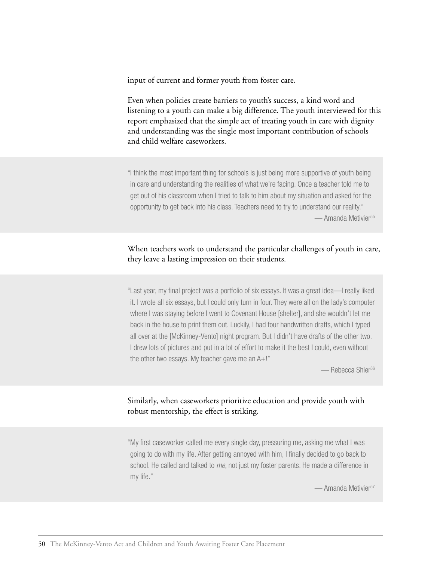input of current and former youth from foster care.

Even when policies create barriers to youth's success, a kind word and listening to a youth can make a big difference. The youth interviewed for this report emphasized that the simple act of treating youth in care with dignity and understanding was the single most important contribution of schools and child welfare caseworkers.

"I think the most important thing for schools is just being more supportive of youth being in care and understanding the realities of what we're facing. Once a teacher told me to get out of his classroom when I tried to talk to him about my situation and asked for the opportunity to get back into his class. Teachers need to try to understand our reality." — Amanda Metivier<sup>55</sup>

#### When teachers work to understand the particular challenges of youth in care, they leave a lasting impression on their students.

" Last year, my final project was a portfolio of six essays. It was a great idea—I really liked it. I wrote all six essays, but I could only turn in four. They were all on the lady's computer where I was staying before I went to Covenant House [shelter], and she wouldn't let me back in the house to print them out. Luckily, I had four handwritten drafts, which I typed all over at the [McKinney-Vento] night program. But I didn't have drafts of the other two. I drew lots of pictures and put in a lot of effort to make it the best I could, even without the other two essays. My teacher gave me an A+!"

— Rebecca Shier<sup>56</sup>

#### Similarly, when caseworkers prioritize education and provide youth with robust mentorship, the effect is striking.

" My first caseworker called me every single day, pressuring me, asking me what I was going to do with my life. After getting annoyed with him, I finally decided to go back to school. He called and talked to me, not just my foster parents. He made a difference in my life."

— Amanda Metivier<sup>57</sup>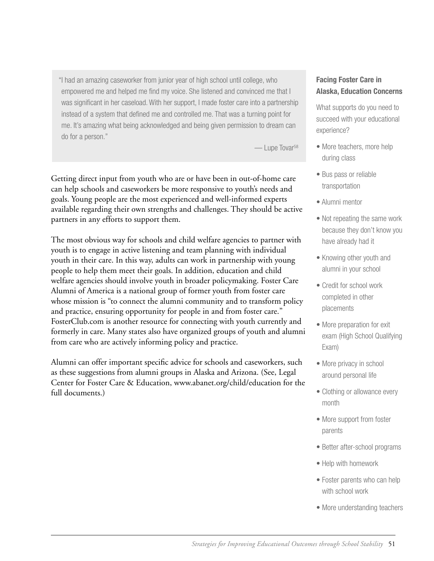"I had an amazing caseworker from junior year of high school until college, who empowered me and helped me find my voice. She listened and convinced me that I was significant in her caseload. With her support, I made foster care into a partnership instead of a system that defined me and controlled me. That was a turning point for me. It's amazing what being acknowledged and being given permission to dream can do for a person."

— Lupe Tovar<sup>58</sup>

Getting direct input from youth who are or have been in out-of-home care can help schools and caseworkers be more responsive to youth's needs and goals. Young people are the most experienced and well-informed experts available regarding their own strengths and challenges. They should be active partners in any efforts to support them.

The most obvious way for schools and child welfare agencies to partner with youth is to engage in active listening and team planning with individual youth in their care. In this way, adults can work in partnership with young people to help them meet their goals. In addition, education and child welfare agencies should involve youth in broader policymaking. Foster Care Alumni of America is a national group of former youth from foster care whose mission is "to connect the alumni community and to transform policy and practice, ensuring opportunity for people in and from foster care." FosterClub.com is another resource for connecting with youth currently and formerly in care. Many states also have organized groups of youth and alumni from care who are actively informing policy and practice.

Alumni can offer important specific advice for schools and caseworkers, such as these suggestions from alumni groups in Alaska and Arizona. (See, Legal Center for Foster Care & Education, www.abanet.org/child/education for the full documents.)

#### **Facing Foster Care in Alaska, Education Concerns**

What supports do you need to succeed with your educational experience?

- More teachers, more help during class
- Bus pass or reliable transportation
- Alumni mentor
- Not repeating the same work because they don't know you have already had it
- Knowing other youth and alumni in your school
- Credit for school work completed in other placements
- More preparation for exit exam (High School Qualifying Exam)
- More privacy in school around personal life
- Clothing or allowance every month
- More support from foster parents
- Better after-school programs
- Help with homework
- Foster parents who can help with school work
- More understanding teachers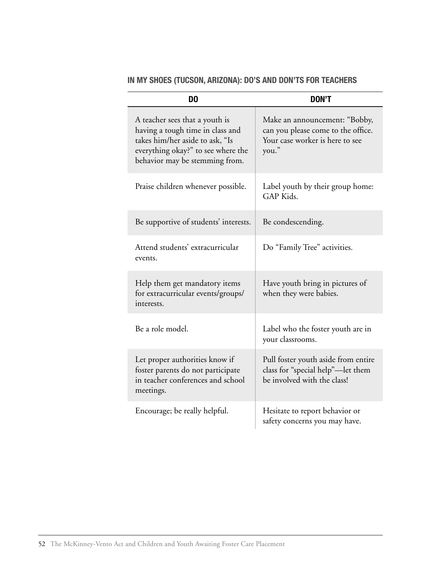#### **IN MY SHOES (TUCSON, ARIZONA): DO'S AND DON'TS FOR TEACHERS**

 $\overline{a}$ 

| D <sub>0</sub>                                                                                                                                                                | <b>DON'T</b>                                                                                                    |
|-------------------------------------------------------------------------------------------------------------------------------------------------------------------------------|-----------------------------------------------------------------------------------------------------------------|
| A teacher sees that a youth is<br>having a tough time in class and<br>takes him/her aside to ask, "Is<br>everything okay?" to see where the<br>behavior may be stemming from. | Make an announcement: "Bobby,<br>can you please come to the office.<br>Your case worker is here to see<br>you." |
| Praise children whenever possible.                                                                                                                                            | Label youth by their group home:<br>GAP Kids.                                                                   |
| Be supportive of students' interests.                                                                                                                                         | Be condescending.                                                                                               |
| Attend students' extracurricular<br>events.                                                                                                                                   | Do "Family Tree" activities.                                                                                    |
| Help them get mandatory items<br>for extracurricular events/groups/<br>interests.                                                                                             | Have youth bring in pictures of<br>when they were babies.                                                       |
| Be a role model.                                                                                                                                                              | Label who the foster youth are in<br>your classrooms.                                                           |
| Let proper authorities know if<br>foster parents do not participate<br>in teacher conferences and school<br>meetings.                                                         | Pull foster youth aside from entire<br>class for "special help"-let them<br>be involved with the class!         |
| Encourage; be really helpful.                                                                                                                                                 | Hesitate to report behavior or<br>safety concerns you may have.                                                 |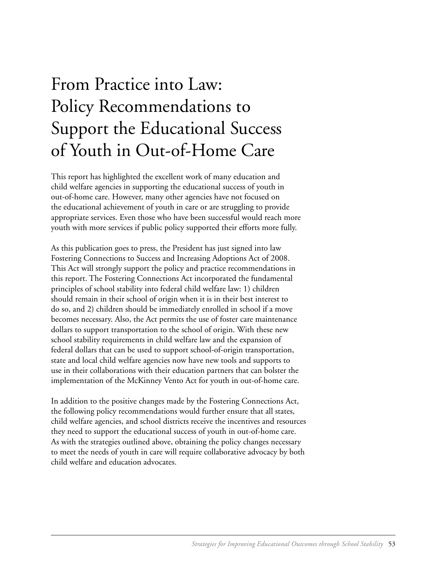# From Practice into Law: Policy Recommendations to Support the Educational Success of Youth in Out-of-Home Care

This report has highlighted the excellent work of many education and child welfare agencies in supporting the educational success of youth in out-of-home care. However, many other agencies have not focused on the educational achievement of youth in care or are struggling to provide appropriate services. Even those who have been successful would reach more youth with more services if public policy supported their efforts more fully.

As this publication goes to press, the President has just signed into law Fostering Connections to Success and Increasing Adoptions Act of 2008. This Act will strongly support the policy and practice recommendations in this report. The Fostering Connections Act incorporated the fundamental principles of school stability into federal child welfare law: 1) children should remain in their school of origin when it is in their best interest to do so, and 2) children should be immediately enrolled in school if a move becomes necessary. Also, the Act permits the use of foster care maintenance dollars to support transportation to the school of origin. With these new school stability requirements in child welfare law and the expansion of federal dollars that can be used to support school-of-origin transportation, state and local child welfare agencies now have new tools and supports to use in their collaborations with their education partners that can bolster the implementation of the McKinney Vento Act for youth in out-of-home care.

In addition to the positive changes made by the Fostering Connections Act, the following policy recommendations would further ensure that all states, child welfare agencies, and school districts receive the incentives and resources they need to support the educational success of youth in out-of-home care. As with the strategies outlined above, obtaining the policy changes necessary to meet the needs of youth in care will require collaborative advocacy by both child welfare and education advocates.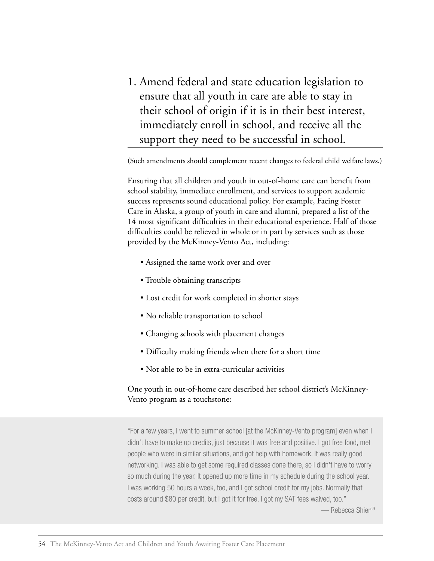1. Amend federal and state education legislation to ensure that all youth in care are able to stay in their school of origin if it is in their best interest, immediately enroll in school, and receive all the support they need to be successful in school.

(Such amendments should complement recent changes to federal child welfare laws.)

Ensuring that all children and youth in out-of-home care can benefit from school stability, immediate enrollment, and services to support academic success represents sound educational policy. For example, Facing Foster Care in Alaska, a group of youth in care and alumni, prepared a list of the 14 most significant difficulties in their educational experience. Half of those difficulties could be relieved in whole or in part by services such as those provided by the McKinney-Vento Act, including:

- Assigned the same work over and over
- Trouble obtaining transcripts
- Lost credit for work completed in shorter stays
- No reliable transportation to school
- Changing schools with placement changes
- Difficulty making friends when there for a short time
- Not able to be in extra-curricular activities

#### One youth in out-of-home care described her school district's McKinney-Vento program as a touchstone:

"For a few years, I went to summer school [at the McKinney-Vento program] even when I didn't have to make up credits, just because it was free and positive. I got free food, met people who were in similar situations, and got help with homework. It was really good networking. I was able to get some required classes done there, so I didn't have to worry so much during the year. It opened up more time in my schedule during the school year. I was working 50 hours a week, too, and I got school credit for my jobs. Normally that costs around \$80 per credit, but I got it for free. I got my SAT fees waived, too."

- Rebecca Shier<sup>59</sup>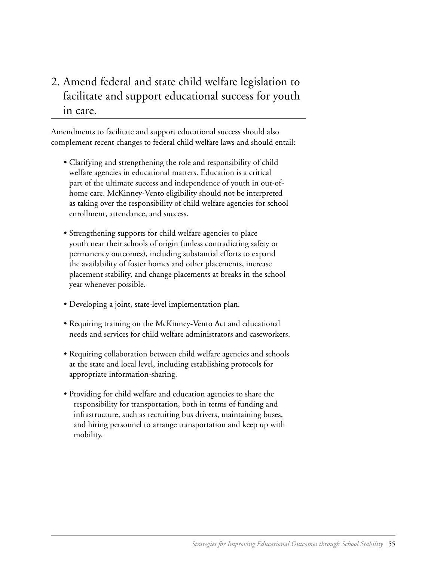## 2. Amend federal and state child welfare legislation to facilitate and support educational success for youth in care.

Amendments to facilitate and support educational success should also complement recent changes to federal child welfare laws and should entail:

- Clarifying and strengthening the role and responsibility of child welfare agencies in educational matters. Education is a critical part of the ultimate success and independence of youth in out-ofhome care. McKinney-Vento eligibility should not be interpreted as taking over the responsibility of child welfare agencies for school enrollment, attendance, and success.
- Strengthening supports for child welfare agencies to place youth near their schools of origin (unless contradicting safety or permanency outcomes), including substantial efforts to expand the availability of foster homes and other placements, increase placement stability, and change placements at breaks in the school year whenever possible.
- Developing a joint, state-level implementation plan.
- Requiring training on the McKinney-Vento Act and educational needs and services for child welfare administrators and caseworkers.
- Requiring collaboration between child welfare agencies and schools at the state and local level, including establishing protocols for appropriate information-sharing.
- Providing for child welfare and education agencies to share the responsibility for transportation, both in terms of funding and infrastructure, such as recruiting bus drivers, maintaining buses, and hiring personnel to arrange transportation and keep up with mobility.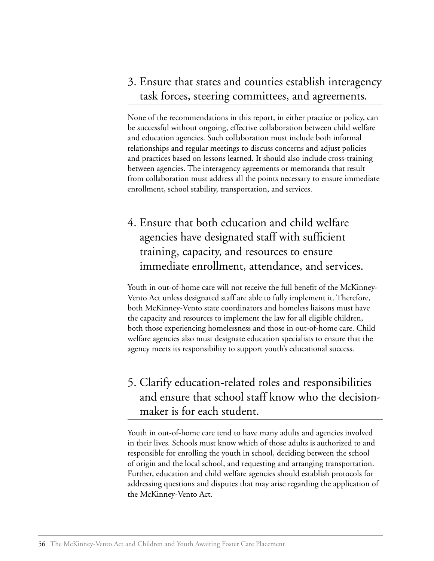## 3. Ensure that states and counties establish interagency task forces, steering committees, and agreements.

None of the recommendations in this report, in either practice or policy, can be successful without ongoing, effective collaboration between child welfare and education agencies. Such collaboration must include both informal relationships and regular meetings to discuss concerns and adjust policies and practices based on lessons learned. It should also include cross-training between agencies. The interagency agreements or memoranda that result from collaboration must address all the points necessary to ensure immediate enrollment, school stability, transportation, and services.

## 4. Ensure that both education and child welfare agencies have designated staff with sufficient training, capacity, and resources to ensure immediate enrollment, attendance, and services.

Youth in out-of-home care will not receive the full benefit of the McKinney-Vento Act unless designated staff are able to fully implement it. Therefore, both McKinney-Vento state coordinators and homeless liaisons must have the capacity and resources to implement the law for all eligible children, both those experiencing homelessness and those in out-of-home care. Child welfare agencies also must designate education specialists to ensure that the agency meets its responsibility to support youth's educational success.

## 5. Clarify education-related roles and responsibilities and ensure that school staff know who the decisionmaker is for each student.

Youth in out-of-home care tend to have many adults and agencies involved in their lives. Schools must know which of those adults is authorized to and responsible for enrolling the youth in school, deciding between the school of origin and the local school, and requesting and arranging transportation. Further, education and child welfare agencies should establish protocols for addressing questions and disputes that may arise regarding the application of the McKinney-Vento Act.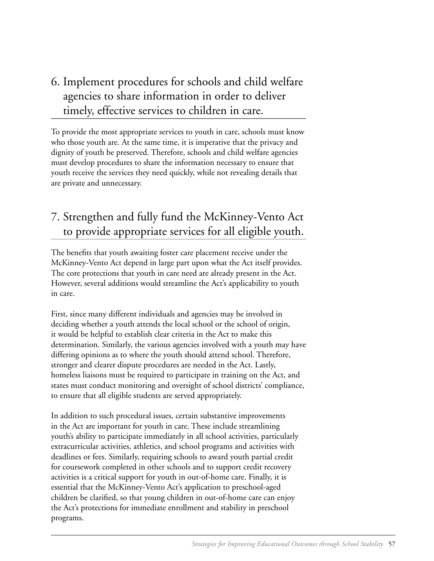## 6. Implement procedures for schools and child welfare agencies to share information in order to deliver timely, effective services to children in care.

To provide the most appropriate services to youth in care, schools must know who those youth are. At the same time, it is imperative that the privacy and dignity of youth be preserved. Therefore, schools and child welfare agencies must develop procedures to share the information necessary to ensure that youth receive the services they need quickly, while not revealing details that are private and unnecessary.

## 7. Strengthen and fully fund the McKinney-Vento Act to provide appropriate services for all eligible youth.

The benefits that youth awaiting foster care placement receive under the McKinney-Vento Act depend in large part upon what the Act itself provides. The core protections that youth in care need are already present in the Act. However, several additions would streamline the Act's applicability to youth in care.

First, since many different individuals and agencies may be involved in deciding whether a youth attends the local school or the school of origin, it would be helpful to establish clear criteria in the Act to make this determination. Similarly, the various agencies involved with a youth may have differing opinions as to where the youth should attend school. Therefore, stronger and clearer dispute procedures are needed in the Act. Lastly, homeless liaisons must be required to participate in training on the Act, and states must conduct monitoring and oversight of school districts' compliance, to ensure that all eligible students are served appropriately.

In addition to such procedural issues, certain substantive improvements in the Act are important for youth in care. These include streamlining youth's ability to participate immediately in all school activities, particularly extracurricular activities, athletics, and school programs and activities with deadlines or fees. Similarly, requiring schools to award youth partial credit for coursework completed in other schools and to support credit recovery activities is a critical support for youth in out-of-home care. Finally, it is essential that the McKinney-Vento Act's application to preschool-aged children be clarified, so that young children in out-of-home care can enjoy the Act's protections for immediate enrollment and stability in preschool programs.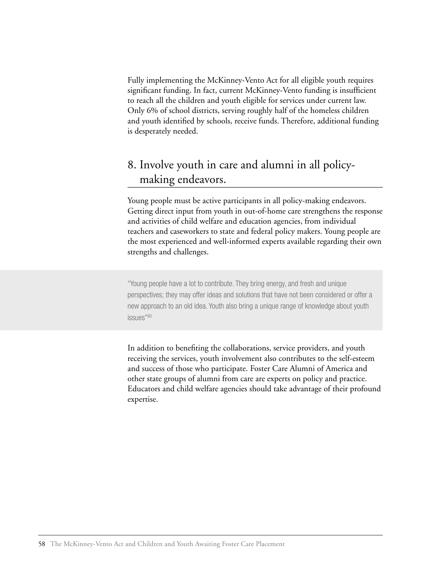Fully implementing the McKinney-Vento Act for all eligible youth requires significant funding. In fact, current McKinney-Vento funding is insufficient to reach all the children and youth eligible for services under current law. Only 6% of school districts, serving roughly half of the homeless children and youth identified by schools, receive funds. Therefore, additional funding is desperately needed.

### 8. Involve youth in care and alumni in all policymaking endeavors.

Young people must be active participants in all policy-making endeavors. Getting direct input from youth in out-of-home care strengthens the response and activities of child welfare and education agencies, from individual teachers and caseworkers to state and federal policy makers. Young people are the most experienced and well-informed experts available regarding their own strengths and challenges.

"Young people have a lot to contribute. They bring energy, and fresh and unique perspectives; they may offer ideas and solutions that have not been considered or offer a new approach to an old idea. Youth also bring a unique range of knowledge about youth issues"60

In addition to benefiting the collaborations, service providers, and youth receiving the services, youth involvement also contributes to the self-esteem and success of those who participate. Foster Care Alumni of America and other state groups of alumni from care are experts on policy and practice. Educators and child welfare agencies should take advantage of their profound expertise.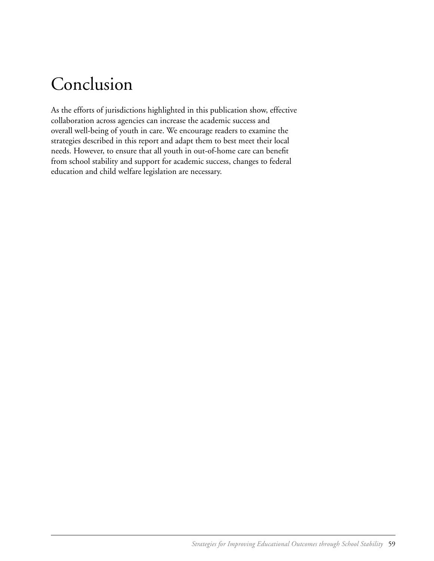# Conclusion

As the efforts of jurisdictions highlighted in this publication show, effective collaboration across agencies can increase the academic success and overall well-being of youth in care. We encourage readers to examine the strategies described in this report and adapt them to best meet their local needs. However, to ensure that all youth in out-of-home care can benefit from school stability and support for academic success, changes to federal education and child welfare legislation are necessary.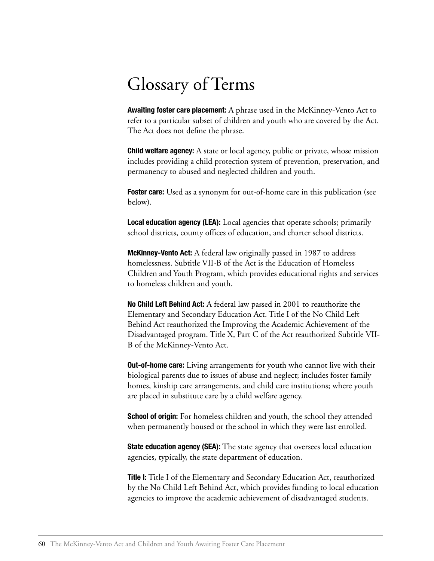# Glossary of Terms

**Awaiting foster care placement:** A phrase used in the McKinney-Vento Act to refer to a particular subset of children and youth who are covered by the Act. The Act does not define the phrase.

**Child welfare agency:** A state or local agency, public or private, whose mission includes providing a child protection system of prevention, preservation, and permanency to abused and neglected children and youth.

**Foster care:** Used as a synonym for out-of-home care in this publication (see below).

**Local education agency (LEA):** Local agencies that operate schools; primarily school districts, county offices of education, and charter school districts.

**McKinney-Vento Act:** A federal law originally passed in 1987 to address homelessness. Subtitle VII-B of the Act is the Education of Homeless Children and Youth Program, which provides educational rights and services to homeless children and youth.

**No Child Left Behind Act:** A federal law passed in 2001 to reauthorize the Elementary and Secondary Education Act. Title I of the No Child Left Behind Act reauthorized the Improving the Academic Achievement of the Disadvantaged program. Title X, Part C of the Act reauthorized Subtitle VII-B of the McKinney-Vento Act.

**Out-of-home care:** Living arrangements for youth who cannot live with their biological parents due to issues of abuse and neglect; includes foster family homes, kinship care arrangements, and child care institutions; where youth are placed in substitute care by a child welfare agency.

**School of origin:** For homeless children and youth, the school they attended when permanently housed or the school in which they were last enrolled.

**State education agency (SEA):** The state agency that oversees local education agencies, typically, the state department of education.

**Title I:** Title I of the Elementary and Secondary Education Act, reauthorized by the No Child Left Behind Act, which provides funding to local education agencies to improve the academic achievement of disadvantaged students.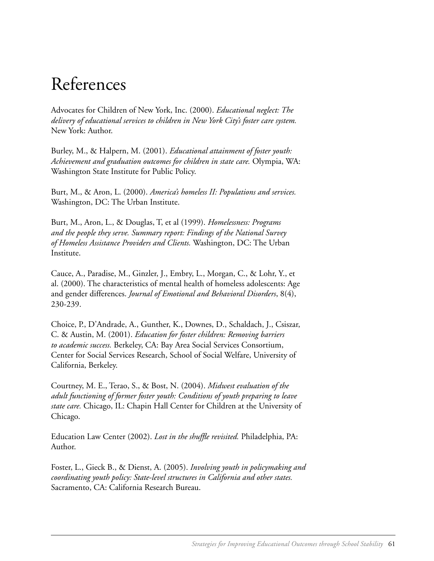## References

Advocates for Children of New York, Inc. (2000). *Educational neglect: The delivery of educational services to children in New York City's foster care system.* New York: Author.

Burley, M., & Halpern, M. (2001). *Educational attainment of foster youth: Achievement and graduation outcomes for children in state care.* Olympia, WA: Washington State Institute for Public Policy.

Burt, M., & Aron, L. (2000). *America's homeless II: Populations and services.*  Washington, DC: The Urban Institute.

Burt, M., Aron, L., & Douglas, T, et al (1999). *Homelessness: Programs and the people they serve. Summary report: Findings of the National Survey of Homeless Assistance Providers and Clients.* Washington, DC: The Urban Institute.

Cauce, A., Paradise, M., Ginzler, J., Embry, L., Morgan, C., & Lohr, Y., et al. (2000). The characteristics of mental health of homeless adolescents: Age and gender differences. *Journal of Emotional and Behavioral Disorders*, 8(4), 230-239.

Choice, P., D'Andrade, A., Gunther, K., Downes, D., Schaldach, J., Csiszar, C. & Austin, M. (2001). *Education for foster children: Removing barriers to academic success.* Berkeley, CA: Bay Area Social Services Consortium, Center for Social Services Research, School of Social Welfare, University of California, Berkeley.

Courtney, M. E., Terao, S., & Bost, N. (2004). *Midwest evaluation of the adult functioning of former foster youth: Conditions of youth preparing to leave state care.* Chicago, IL: Chapin Hall Center for Children at the University of Chicago.

Education Law Center (2002). *Lost in the shuffle revisited.* Philadelphia, PA: Author.

Foster, L., Gieck B., & Dienst, A. (2005). *Involving youth in policymaking and coordinating youth policy: State-level structures in California and other states.* Sacramento, CA: California Research Bureau.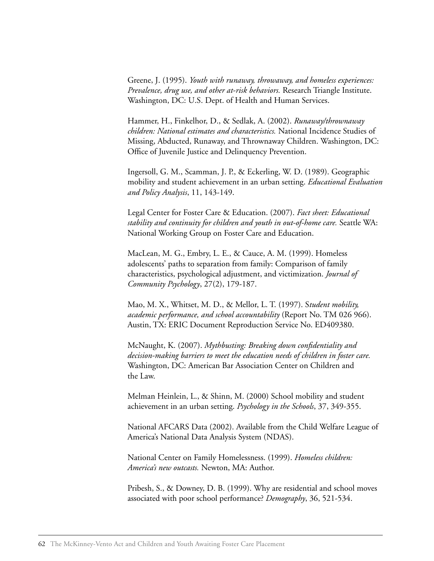Greene, J. (1995). *Youth with runaway, throwaway, and homeless experiences: Prevalence, drug use, and other at-risk behaviors.* Research Triangle Institute. Washington, DC: U.S. Dept. of Health and Human Services.

Hammer, H., Finkelhor, D., & Sedlak, A. (2002). *Runaway/thrownaway children: National estimates and characteristics.* National Incidence Studies of Missing, Abducted, Runaway, and Thrownaway Children. Washington, DC: Office of Juvenile Justice and Delinquency Prevention.

Ingersoll, G. M., Scamman, J. P., & Eckerling, W. D. (1989). Geographic mobility and student achievement in an urban setting. *Educational Evaluation and Policy Analysis*, 11, 143-149.

Legal Center for Foster Care & Education. (2007). *Fact sheet: Educational stability and continuity for children and youth in out-of-home care.* Seattle WA: National Working Group on Foster Care and Education.

MacLean, M. G., Embry, L. E., & Cauce, A. M. (1999). Homeless adolescents' paths to separation from family: Comparison of family characteristics, psychological adjustment, and victimization. *Journal of Community Psychology*, 27(2), 179-187.

Mao, M. X., Whitset, M. D., & Mellor, L. T. (1997). S*tudent mobility, academic performance, and school accountability* (Report No. TM 026 966). Austin, TX: ERIC Document Reproduction Service No. ED409380.

McNaught, K. (2007). *Mythbusting: Breaking down confidentiality and decision-making barriers to meet the education needs of children in foster care.* Washington, DC: American Bar Association Center on Children and the Law.

Melman Heinlein, L., & Shinn, M. (2000) School mobility and student achievement in an urban setting. *Psychology in the Schools*, 37, 349-355.

National AFCARS Data (2002). Available from the Child Welfare League of America's National Data Analysis System (NDAS).

National Center on Family Homelessness. (1999). *Homeless children: America's new outcasts.* Newton, MA: Author.

Pribesh, S., & Downey, D. B. (1999). Why are residential and school moves associated with poor school performance? *Demography*, 36, 521-534.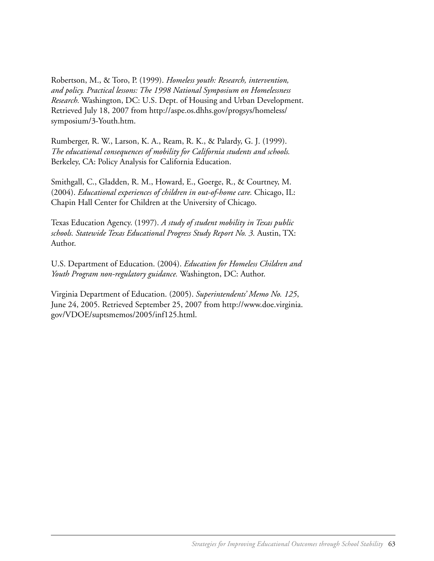Robertson, M., & Toro, P. (1999). *Homeless youth: Research, intervention, and policy. Practical lessons: The 1998 National Symposium on Homelessness Research.* Washington, DC: U.S. Dept. of Housing and Urban Development. Retrieved July 18, 2007 from http://aspe.os.dhhs.gov/progsys/homeless/ symposium/3-Youth.htm.

Rumberger, R. W., Larson, K. A., Ream, R. K., & Palardy, G. J. (1999). *The educational consequences of mobility for California students and schools.* Berkeley, CA: Policy Analysis for California Education.

Smithgall, C., Gladden, R. M., Howard, E., Goerge, R., & Courtney, M. (2004). *Educational experiences of children in out-of-home care.* Chicago, IL: Chapin Hall Center for Children at the University of Chicago.

Texas Education Agency. (1997). *A study of student mobility in Texas public schools. Statewide Texas Educational Progress Study Report No. 3.* Austin, TX: Author.

U.S. Department of Education. (2004). *Education for Homeless Children and Youth Program non-regulatory guidance.* Washington, DC: Author.

Virginia Department of Education. (2005). *Superintendents' Memo No. 125*, June 24, 2005. Retrieved September 25, 2007 from http://www.doe.virginia. gov/VDOE/suptsmemos/2005/inf125.html.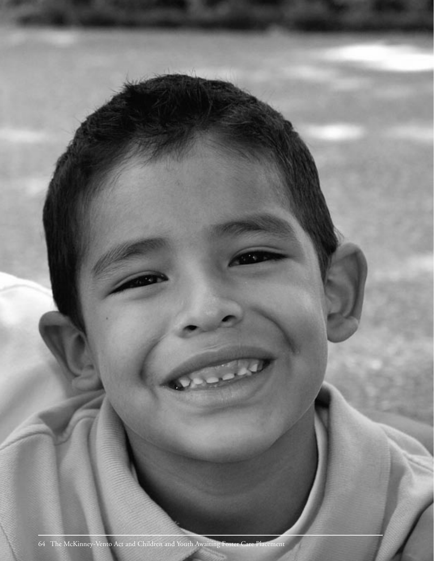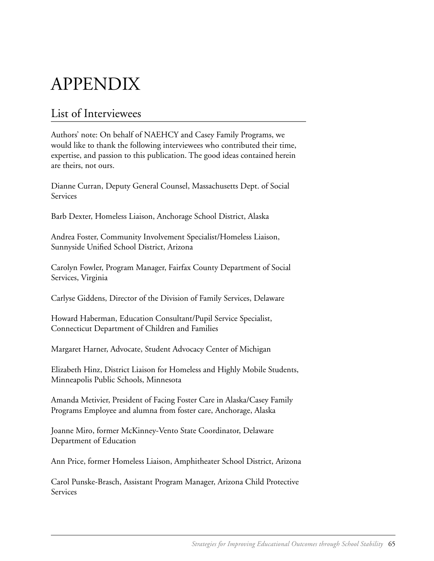# APPENDIX

## List of Interviewees

Authors' note: On behalf of NAEHCY and Casey Family Programs, we would like to thank the following interviewees who contributed their time, expertise, and passion to this publication. The good ideas contained herein are theirs, not ours.

Dianne Curran, Deputy General Counsel, Massachusetts Dept. of Social Services

Barb Dexter, Homeless Liaison, Anchorage School District, Alaska

Andrea Foster, Community Involvement Specialist/Homeless Liaison, Sunnyside Unified School District, Arizona

Carolyn Fowler, Program Manager, Fairfax County Department of Social Services, Virginia

Carlyse Giddens, Director of the Division of Family Services, Delaware

Howard Haberman, Education Consultant/Pupil Service Specialist, Connecticut Department of Children and Families

Margaret Harner, Advocate, Student Advocacy Center of Michigan

Elizabeth Hinz, District Liaison for Homeless and Highly Mobile Students, Minneapolis Public Schools, Minnesota

Amanda Metivier, President of Facing Foster Care in Alaska/Casey Family Programs Employee and alumna from foster care, Anchorage, Alaska

Joanne Miro, former McKinney-Vento State Coordinator, Delaware Department of Education

Ann Price, former Homeless Liaison, Amphitheater School District, Arizona

Carol Punske-Brasch, Assistant Program Manager, Arizona Child Protective Services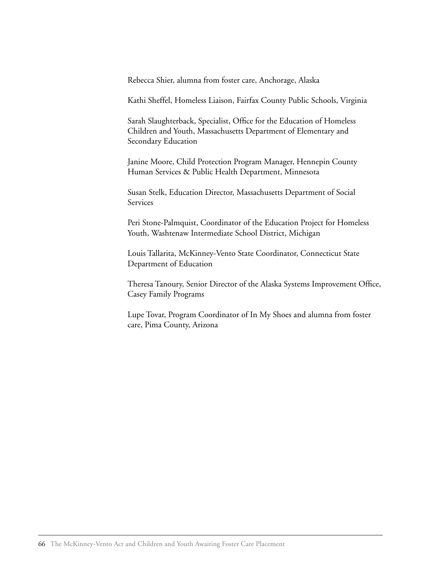Rebecca Shier, alumna from foster care, Anchorage, Alaska

Kathi Sheffel, Homeless Liaison, Fairfax County Public Schools, Virginia

Sarah Slaughterback, Specialist, Office for the Education of Homeless Children and Youth, Massachusetts Department of Elementary and Secondary Education

Janine Moore, Child Protection Program Manager, Hennepin County Human Services & Public Health Department, Minnesota

Susan Stelk, Education Director, Massachusetts Department of Social Services

Peri Stone-Palmquist, Coordinator of the Education Project for Homeless Youth, Washtenaw Intermediate School District, Michigan

Louis Tallarita, McKinney-Vento State Coordinator, Connecticut State Department of Education

Theresa Tanoury, Senior Director of the Alaska Systems Improvement Office, Casey Family Programs

Lupe Tovar, Program Coordinator of In My Shoes and alumna from foster care, Pima County, Arizona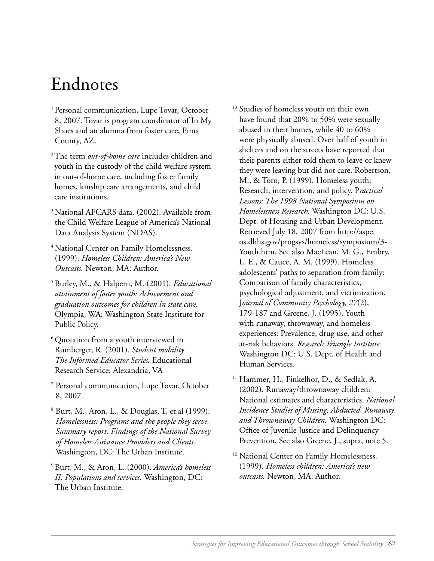## Endnotes

- <sup>1</sup> Personal communication, Lupe Tovar, October 8, 2007. Tovar is program coordinator of In My Shoes and an alumna from foster care, Pima County, AZ.
- 2 The term *out-of-home care* includes children and youth in the custody of the child welfare system in out-of-home care, including foster family homes, kinship care arrangements, and child care institutions.
- 3 National AFCARS data. (2002). Available from the Child Welfare League of America's National Data Analysis System (NDAS).
- 4 National Center on Family Homelessness. (1999). *Homeless Children: America's New Outcasts.* Newton, MA: Author.
- 5 Burley, M., & Halpern, M. (2001). *Educational attainment of foster youth: Achievement and graduation outcomes for children in state care.* Olympia, WA: Washington State Institute for Public Policy.
- <sup>6</sup> Quotation from a youth interviewed in Rumberger, R. (2001). *Student mobility. The Informed Educator Series.* Educational Research Service: Alexandria, VA
- 7 Personal communication, Lupe Tovar, October 8, 2007.
- 8 Burt, M., Aron, L., & Douglas, T, et al (1999). *Homelessness: Programs and the people they serve. Summary report. Findings of the National Survey of Homeless Assistance Providers and Clients.* Washington, DC: The Urban Institute.
- 9 Burt, M., & Aron, L. (2000). *America's homeless II: Populations and services.* Washington, DC: The Urban Institute.
- <sup>10</sup> Studies of homeless youth on their own have found that 20% to 50% were sexually abused in their homes, while 40 to 60% were physically abused. Over half of youth in shelters and on the streets have reported that their parents either told them to leave or knew they were leaving but did not care. Robertson, M., & Toro, P. (1999). Homeless youth: Research, intervention, and policy. P*ractical Lessons: The 1998 National Symposium on Homelessness Research.* Washington DC: U.S. Dept. of Housing and Urban Development. Retrieved July 18, 2007 from http://aspe. os.dhhs.gov/progsys/homeless/symposium/3- Youth.htm. See also MacLean, M. G., Embry, L. E., & Cauce, A. M. (1999). Homeless adolescents' paths to separation from family: Comparison of family characteristics, psychological adjustment, and victimization. J*ournal of Community Psychology, 27*(2), 179-187 and Greene, J. (1995). Youth with runaway, throwaway, and homeless experiences: Prevalence, drug use, and other at-risk behaviors. *Research Triangle Institute.* Washington DC: U.S. Dept. of Health and Human Services.
- 11 Hammer, H., Finkelhor, D., & Sedlak, A. (2002). Runaway/thrownaway children: National estimates and characteristics. *National Incidence Studies of Missing, Abducted, Runaway, and Thrownaway Children.* Washington DC: Office of Juvenile Justice and Delinquency Prevention. See also Greene, J., supra, note 5.
- <sup>12</sup> National Center on Family Homelessness. (1999). *Homeless children: America's new outcasts.* Newton, MA: Author.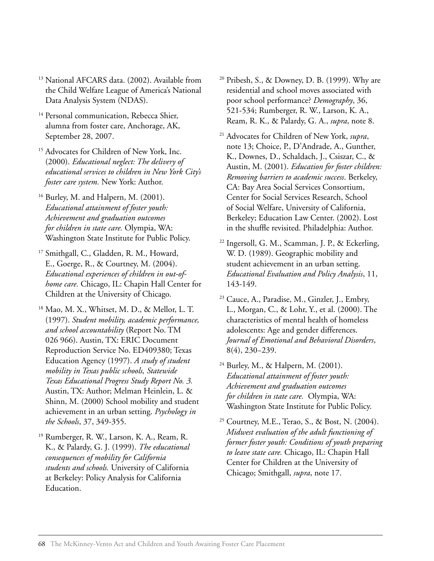- 13 National AFCARS data. (2002). Available from the Child Welfare League of America's National Data Analysis System (NDAS).
- <sup>14</sup> Personal communication, Rebecca Shier, alumna from foster care, Anchorage, AK, September 28, 2007.
- 15 Advocates for Children of New York, Inc. (2000). *Educational neglect: The delivery of educational services to children in New York City's foster care system.* New York: Author.
- <sup>16</sup> Burley, M. and Halpern, M. (2001). *Educational attainment of foster youth: Achievement and graduation outcomes for children in state care.* Olympia, WA: Washington State Institute for Public Policy.
- <sup>17</sup> Smithgall, C., Gladden, R. M., Howard, E., Goerge, R., & Courtney, M. (2004). *Educational experiences of children in out-ofhome care.* Chicago, IL: Chapin Hall Center for Children at the University of Chicago.
- 18 Mao, M. X., Whitset, M. D., & Mellor, L. T. (1997). *Student mobility, academic performance, and school accountability* (Report No. TM 026 966). Austin, TX: ERIC Document Reproduction Service No. ED409380; Texas Education Agency (1997). *A study of student mobility in Texas public schools, Statewide Texas Educational Progress Study Report No. 3.* Austin, TX: Author; Melman Heinlein, L. & Shinn, M. (2000) School mobility and student achievement in an urban setting. *Psychology in the Schools*, 37, 349-355.
- 19 Rumberger, R. W., Larson, K. A., Ream, R. K., & Palardy, G. J. (1999). *The educational consequences of mobility for California students and schools.* University of California at Berkeley: Policy Analysis for California Education.
- 20 Pribesh, S., & Downey, D. B. (1999). Why are residential and school moves associated with poor school performance? *Demography*, 36, 521-534; Rumberger, R. W., Larson, K. A., Ream, R. K., & Palardy, G. A., *supra*, note 8.
- 21 Advocates for Children of New York, *supra*, note 13; Choice, P., D'Andrade, A., Gunther, K., Downes, D., Schaldach, J., Csiszar, C., & Austin, M. (2001). *Education for foster children: Removing barriers to academic success*. Berkeley, CA: Bay Area Social Services Consortium, Center for Social Services Research, School of Social Welfare, University of California, Berkeley; Education Law Center. (2002). Lost in the shuffle revisited. Philadelphia: Author.
- 22 Ingersoll, G. M., Scamman, J. P., & Eckerling, W. D. (1989). Geographic mobility and student achievement in an urban setting. *Educational Evaluation and Policy Analysis*, 11, 143-149.
- 23 Cauce, A., Paradise, M., Ginzler, J., Embry, L., Morgan, C., & Lohr, Y., et al. (2000). The characteristics of mental health of homeless adolescents: Age and gender differences. *Journal of Emotional and Behavioral Disorders*, 8(4), 230−239.
- <sup>24</sup> Burley, M., & Halpern, M.  $(2001)$ . *Educational attainment of foster youth: Achievement and graduation outcomes for children in state care.* Olympia, WA: Washington State Institute for Public Policy.
- $25$  Courtney, M.E., Terao, S., & Bost, N. (2004). *Midwest evaluation of the adult functioning of former foster youth: Conditions of youth preparing to leave state care.* Chicago, IL: Chapin Hall Center for Children at the University of Chicago; Smithgall, *supra*, note 17.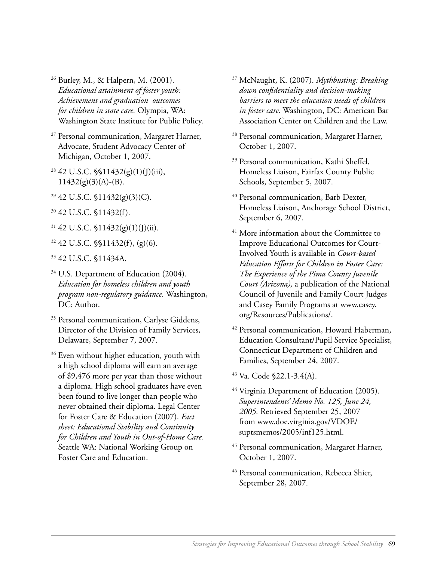- 26 Burley, M., & Halpern, M. (2001). *Educational attainment of foster youth: Achievement and graduation outcomes for children in state care.* Olympia, WA: Washington State Institute for Public Policy.
- <sup>27</sup> Personal communication, Margaret Harner, Advocate, Student Advocacy Center of Michigan, October 1, 2007.
- $28\,42\,$  U.S.C.  $\S\$ 11432(g)(1)(J)(iii),  $11432(g)(3)(A) - (B)$ .
- $29$  42 U.S.C.  $$11432(g)(3)(C)$ .
- 30 42 U.S.C. §11432(f).
- 31 42 U.S.C. §11432(g)(1)(J)(ii).
- $32\,42\,$  U.S.C.  $\frac{1432(f)}{f}$ , (g)(6).
- 33 42 U.S.C. §11434A.
- <sup>34</sup> U.S. Department of Education (2004). *Education for homeless children and youth program non-regulatory guidance.* Washington, DC: Author.
- <sup>35</sup> Personal communication, Carlyse Giddens, Director of the Division of Family Services, Delaware, September 7, 2007.
- <sup>36</sup> Even without higher education, youth with a high school diploma will earn an average of \$9,476 more per year than those without a diploma. High school graduates have even been found to live longer than people who never obtained their diploma. Legal Center for Foster Care & Education (2007). *Fact sheet: Educational Stability and Continuity for Children and Youth in Out-of-Home Care.* Seattle WA: National Working Group on Foster Care and Education.
- 37 McNaught, K. (2007). *Mythbusting: Breaking down confidentiality and decision-making barriers to meet the education needs of children in foster care.* Washington, DC: American Bar Association Center on Children and the Law.
- <sup>38</sup> Personal communication, Margaret Harner, October 1, 2007.
- 39 Personal communication, Kathi Sheffel, Homeless Liaison, Fairfax County Public Schools, September 5, 2007.
- 40 Personal communication, Barb Dexter, Homeless Liaison, Anchorage School District, September 6, 2007.
- <sup>41</sup> More information about the Committee to Improve Educational Outcomes for Court-Involved Youth is available in *Court-based Education Efforts for Children in Foster Care: The Experience of the Pima County Juvenile Court (Arizona),* a publication of the National Council of Juvenile and Family Court Judges and Casey Family Programs at www.casey. org/Resources/Publications/.
- 42 Personal communication, Howard Haberman, Education Consultant/Pupil Service Specialist, Connecticut Department of Children and Families, September 24, 2007.
- 43 Va. Code §22.1-3.4(A).
- <sup>44</sup> Virginia Department of Education (2005). *Superintendents' Memo No. 125, June 24, 2005.* Retrieved September 25, 2007 from www.doe.virginia.gov/VDOE/ suptsmemos/2005/inf125.html.
- <sup>45</sup> Personal communication, Margaret Harner, October 1, 2007.
- 46 Personal communication, Rebecca Shier, September 28, 2007.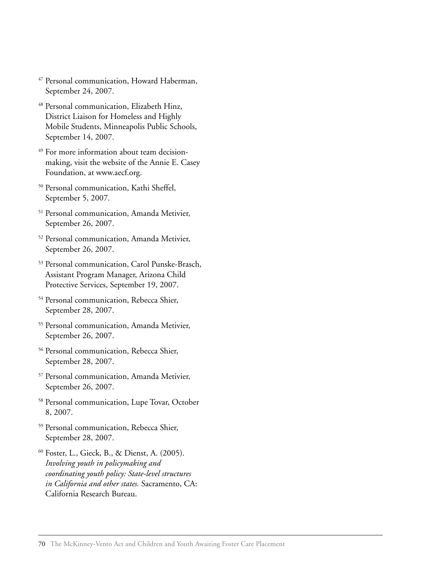- 47 Personal communication, Howard Haberman, September 24, 2007.
- 48 Personal communication, Elizabeth Hinz, District Liaison for Homeless and Highly Mobile Students, Minneapolis Public Schools, September 14, 2007.
- 49 For more information about team decisionmaking, visit the website of the Annie E. Casey Foundation, at www.aecf.org.
- 50 Personal communication, Kathi Sheffel, September 5, 2007.
- 51 Personal communication, Amanda Metivier, September 26, 2007.
- 52 Personal communication, Amanda Metivier, September 26, 2007.
- 53 Personal communication, Carol Punske-Brasch, Assistant Program Manager, Arizona Child Protective Services, September 19, 2007.
- 54 Personal communication, Rebecca Shier, September 28, 2007.
- 55 Personal communication, Amanda Metivier, September 26, 2007.
- 56 Personal communication, Rebecca Shier, September 28, 2007.
- 57 Personal communication, Amanda Metivier, September 26, 2007.
- 58 Personal communication, Lupe Tovar, October 8, 2007.
- 59 Personal communication, Rebecca Shier, September 28, 2007.
- 60 Foster, L., Gieck, B., & Dienst, A. (2005). *Involving youth in policymaking and coordinating youth policy: State-level structures in California and other states.* Sacramento, CA: California Research Bureau.